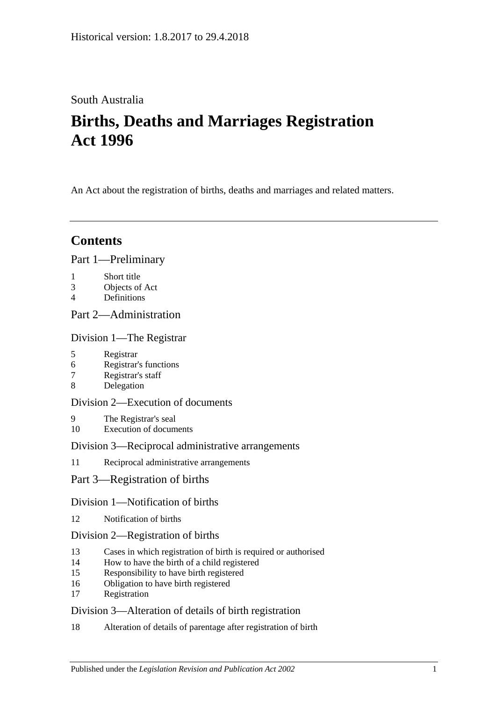## South Australia

# **Births, Deaths and Marriages Registration Act 1996**

An Act about the registration of births, deaths and marriages and related matters.

## **Contents**

## [Part 1—Preliminary](#page-3-0)

- 1 [Short title](#page-3-1)
- 3 [Objects of Act](#page-3-2)
- 4 [Definitions](#page-3-3)

## [Part 2—Administration](#page-5-0)

## [Division 1—The Registrar](#page-5-1)

- 5 [Registrar](#page-5-2)
- 6 [Registrar's functions](#page-5-3)
- 7 [Registrar's staff](#page-5-4)
- 8 [Delegation](#page-6-0)

## [Division 2—Execution of documents](#page-6-1)

- 9 [The Registrar's seal](#page-6-2)
- 10 [Execution of documents](#page-6-3)

## [Division 3—Reciprocal administrative arrangements](#page-6-4)

11 [Reciprocal administrative arrangements](#page-6-5)

## [Part 3—Registration of births](#page-7-0)

## [Division 1—Notification of births](#page-7-1)

12 [Notification of births](#page-7-2)

## [Division 2—Registration of births](#page-7-3)

- 13 [Cases in which registration of birth is required or authorised](#page-7-4)
- 14 [How to have the birth of a child registered](#page-8-0)
- 15 [Responsibility to have birth registered](#page-8-1)
- 16 [Obligation to have birth registered](#page-9-0)
- 17 [Registration](#page-9-1)

## [Division 3—Alteration of details of birth registration](#page-9-2)

18 [Alteration of details of parentage after registration of birth](#page-9-3)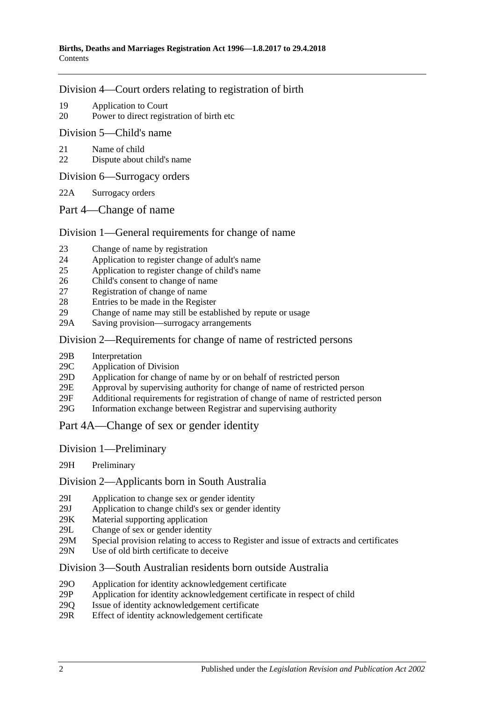### [Division 4—Court orders relating to registration of birth](#page-10-0)

- 19 [Application to Court](#page-10-1)
- 20 [Power to direct registration of birth etc](#page-10-2)

### [Division 5—Child's name](#page-10-3)

- 21 [Name of child](#page-10-4)
- 22 [Dispute about child's name](#page-10-5)
- [Division 6—Surrogacy orders](#page-11-0)
- 22A [Surrogacy orders](#page-11-1)
- [Part 4—Change of name](#page-11-2)

### [Division 1—General requirements for change of name](#page-11-3)

- 23 [Change of name by registration](#page-11-4)
- 24 [Application to register change of adult's name](#page-11-5)
- 25 [Application to register change of child's name](#page-12-0)
- 26 [Child's consent to change of name](#page-13-0)
- 27 [Registration of change of name](#page-13-1)
- 28 [Entries to be made in the Register](#page-13-2)
- 29 [Change of name may still be established by repute or usage](#page-13-3)
- 29A Saving [provision—surrogacy arrangements](#page-13-4)

### [Division 2—Requirements for change of name of restricted persons](#page-14-0)

- 29B [Interpretation](#page-14-1)
- 29C [Application of Division](#page-14-2)
- 29D [Application for change of name by or on behalf of restricted person](#page-15-0)
- 29E [Approval by supervising authority for change of name of restricted person](#page-15-1)
- 29F [Additional requirements for registration of change of name of restricted](#page-16-0) person
- 29G [Information exchange between Registrar and supervising authority](#page-16-1)
- [Part 4A—Change of sex or gender identity](#page-17-0)
- Division [1—Preliminary](#page-17-1)
- 29H [Preliminary](#page-17-2)

### Division [2—Applicants born in South Australia](#page-17-3)

- 29I [Application to change sex or gender identity](#page-17-4)
- 29J [Application to change child's sex or gender identity](#page-17-5)
- 29K [Material supporting application](#page-18-0)
- 29L [Change of sex or gender identity](#page-19-0)
- 29M [Special provision relating to access to Register and issue of extracts and certificates](#page-19-1)
- 29N [Use of old birth certificate to deceive](#page-19-2)

### Division [3—South Australian residents born outside Australia](#page-20-0)

- 29O [Application for identity acknowledgement certificate](#page-20-1)
- 29P [Application for identity acknowledgement certificate in respect of child](#page-20-2)
- 29Q [Issue of identity acknowledgement certificate](#page-21-0)
- 29R [Effect of identity acknowledgement certificate](#page-21-1)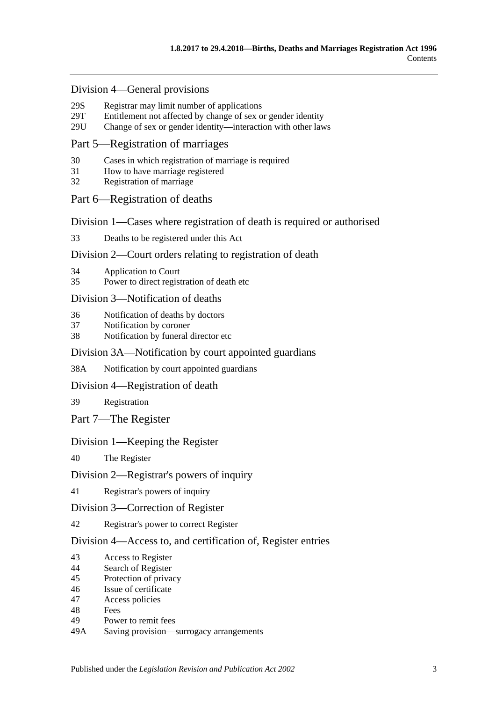### Division [4—General provisions](#page-21-2)

- 29S [Registrar may limit number of applications](#page-21-3)<br>29T Entitlement not affected by change of sex of
- [Entitlement not affected by change of sex or gender identity](#page-22-0)
- 29U [Change of sex or gender identity—interaction with other laws](#page-22-1)

### [Part 5—Registration of marriages](#page-22-2)

- 30 [Cases in which registration of marriage is required](#page-22-3)
- 31 [How to have marriage registered](#page-22-4)
- 32 [Registration of marriage](#page-22-5)

### [Part 6—Registration of deaths](#page-22-6)

[Division 1—Cases where registration of death is required or authorised](#page-22-7)

33 [Deaths to be registered under this Act](#page-22-8)

### [Division 2—Court orders relating to registration of death](#page-23-0)

- 34 [Application to Court](#page-23-1)
- 35 [Power to direct registration of death etc](#page-23-2)

### [Division 3—Notification of deaths](#page-23-3)

- 36 [Notification of deaths by doctors](#page-23-4)
- 37 [Notification by coroner](#page-24-0)
- 38 [Notification by funeral director etc](#page-24-1)

### [Division 3A—Notification by court appointed guardians](#page-25-0)

38A [Notification by court appointed guardians](#page-25-1)

### [Division 4—Registration of death](#page-25-2)

39 [Registration](#page-25-3)

[Part 7—The Register](#page-26-0)

### [Division 1—Keeping the Register](#page-26-1)

40 [The Register](#page-26-2)

### [Division 2—Registrar's powers of inquiry](#page-26-3)

41 [Registrar's powers of inquiry](#page-26-4)

### [Division 3—Correction of Register](#page-26-5)

42 [Registrar's power to correct Register](#page-26-6)

### [Division 4—Access to, and certification of, Register entries](#page-27-0)

- 43 [Access to Register](#page-27-1)
- 44 [Search of Register](#page-27-2)
- 45 [Protection of privacy](#page-28-0)
- 46 [Issue of certificate](#page-28-1)
- 47 [Access policies](#page-28-2)
- 48 [Fees](#page-28-3)
- 49 [Power to remit fees](#page-28-4)
- 49A [Saving provision—surrogacy arrangements](#page-29-0)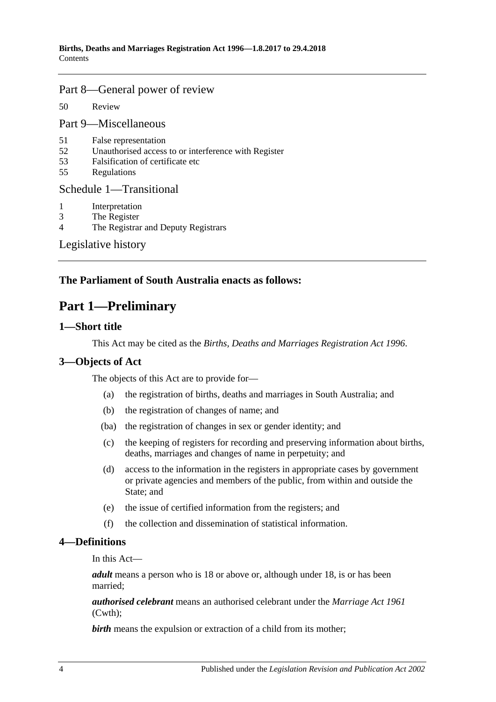### [Part 8—General power of review](#page-29-1)

50 [Review](#page-29-2)

[Part 9—Miscellaneous](#page-29-3)

- 51 [False representation](#page-29-4)
- 52 [Unauthorised access to or interference with Register](#page-29-5)
- 53 [Falsification of certificate etc](#page-29-6)
- 55 [Regulations](#page-30-0)

### [Schedule 1—Transitional](#page-30-1)

- 1 [Interpretation](#page-30-2)
- 3 [The Register](#page-30-3)
- 4 [The Registrar and Deputy Registrars](#page-30-4)

[Legislative history](#page-31-0)

## <span id="page-3-0"></span>**The Parliament of South Australia enacts as follows:**

## **Part 1—Preliminary**

### <span id="page-3-1"></span>**1—Short title**

This Act may be cited as the *Births, Deaths and Marriages Registration Act 1996*.

## <span id="page-3-2"></span>**3—Objects of Act**

The objects of this Act are to provide for—

- (a) the registration of births, deaths and marriages in South Australia; and
- (b) the registration of changes of name; and
- (ba) the registration of changes in sex or gender identity; and
- (c) the keeping of registers for recording and preserving information about births, deaths, marriages and changes of name in perpetuity; and
- (d) access to the information in the registers in appropriate cases by government or private agencies and members of the public, from within and outside the State; and
- (e) the issue of certified information from the registers; and
- (f) the collection and dissemination of statistical information.

### <span id="page-3-3"></span>**4—Definitions**

In this Act—

*adult* means a person who is 18 or above or, although under 18, is or has been married;

*authorised celebrant* means an authorised celebrant under the *Marriage Act 1961* (Cwth);

**birth** means the expulsion or extraction of a child from its mother;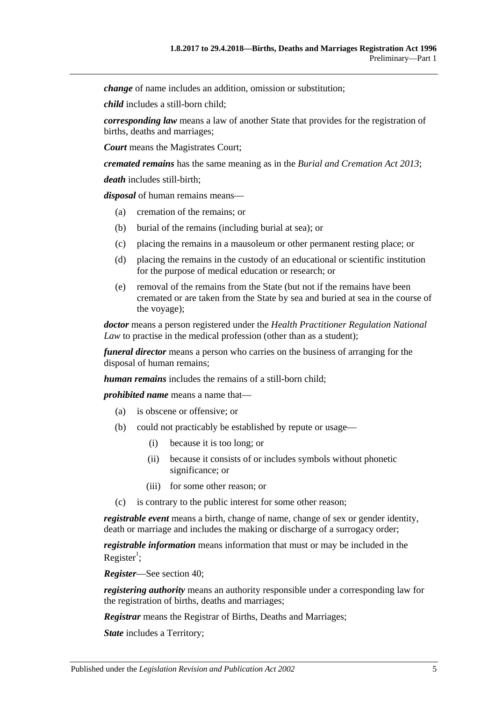*change* of name includes an addition, omission or substitution;

*child* includes a still-born child;

*corresponding law* means a law of another State that provides for the registration of births, deaths and marriages;

*Court* means the Magistrates Court;

*cremated remains* has the same meaning as in the *[Burial and Cremation Act](http://www.legislation.sa.gov.au/index.aspx?action=legref&type=act&legtitle=Burial%20and%20Cremation%20Act%202013) 2013*;

*death* includes still-birth;

*disposal* of human remains means—

- (a) cremation of the remains; or
- (b) burial of the remains (including burial at sea); or
- (c) placing the remains in a mausoleum or other permanent resting place; or
- (d) placing the remains in the custody of an educational or scientific institution for the purpose of medical education or research; or
- (e) removal of the remains from the State (but not if the remains have been cremated or are taken from the State by sea and buried at sea in the course of the voyage);

*doctor* means a person registered under the *Health Practitioner Regulation National Law* to practise in the medical profession (other than as a student);

*funeral director* means a person who carries on the business of arranging for the disposal of human remains;

*human remains* includes the remains of a still-born child;

*prohibited name* means a name that—

- (a) is obscene or offensive; or
- (b) could not practicably be established by repute or usage—
	- (i) because it is too long; or
	- (ii) because it consists of or includes symbols without phonetic significance; or
	- (iii) for some other reason; or
- (c) is contrary to the public interest for some other reason;

*registrable event* means a birth, change of name, change of sex or gender identity, death or marriage and includes the making or discharge of a surrogacy order;

*registrable information* means information that must or may be included in the Register<sup>1</sup>;

*Register*—See [section](#page-26-2) 40;

*registering authority* means an authority responsible under a corresponding law for the registration of births, deaths and marriages;

*Registrar* means the Registrar of Births, Deaths and Marriages;

*State* includes a Territory;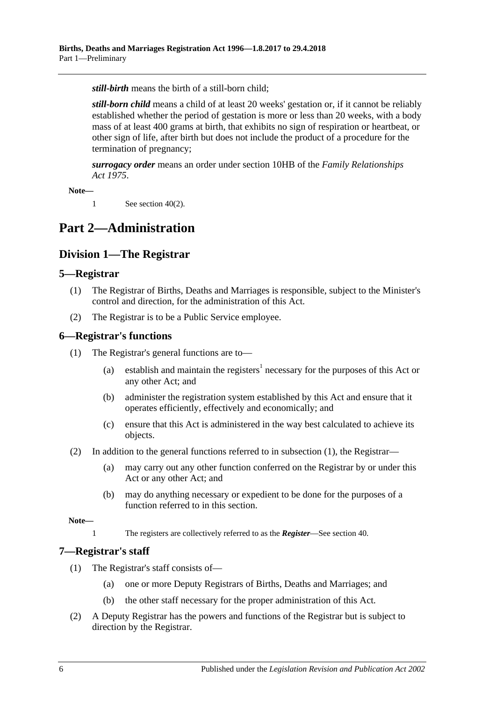*still-birth* means the birth of a still-born child;

*still-born child* means a child of at least 20 weeks' gestation or, if it cannot be reliably established whether the period of gestation is more or less than 20 weeks, with a body mass of at least 400 grams at birth, that exhibits no sign of respiration or heartbeat, or other sign of life, after birth but does not include the product of a procedure for the termination of pregnancy;

*surrogacy order* means an order under section 10HB of the *[Family Relationships](http://www.legislation.sa.gov.au/index.aspx?action=legref&type=act&legtitle=Family%20Relationships%20Act%201975)  Act [1975](http://www.legislation.sa.gov.au/index.aspx?action=legref&type=act&legtitle=Family%20Relationships%20Act%201975)*.

**Note—**

1 See [section](#page-26-7) 40(2).

## <span id="page-5-1"></span><span id="page-5-0"></span>**Part 2—Administration**

## **Division 1—The Registrar**

### <span id="page-5-2"></span>**5—Registrar**

- (1) The Registrar of Births, Deaths and Marriages is responsible, subject to the Minister's control and direction, for the administration of this Act.
- (2) The Registrar is to be a Public Service employee.

### <span id="page-5-5"></span><span id="page-5-3"></span>**6—Registrar's functions**

- (1) The Registrar's general functions are to—
	- (a) establish and maintain the registers<sup>1</sup> necessary for the purposes of this Act or any other Act; and
	- (b) administer the registration system established by this Act and ensure that it operates efficiently, effectively and economically; and
	- (c) ensure that this Act is administered in the way best calculated to achieve its objects.
- (2) In addition to the general functions referred to in [subsection](#page-5-5) (1), the Registrar—
	- (a) may carry out any other function conferred on the Registrar by or under this Act or any other Act; and
	- (b) may do anything necessary or expedient to be done for the purposes of a function referred to in this section.

**Note—**

1 The registers are collectively referred to as the *Register*—See [section](#page-26-2) 40.

## <span id="page-5-4"></span>**7—Registrar's staff**

- (1) The Registrar's staff consists of—
	- (a) one or more Deputy Registrars of Births, Deaths and Marriages; and
	- (b) the other staff necessary for the proper administration of this Act.
- (2) A Deputy Registrar has the powers and functions of the Registrar but is subject to direction by the Registrar.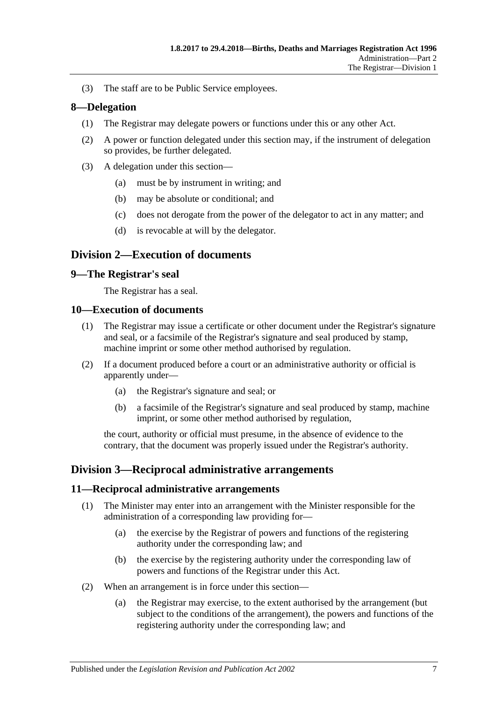(3) The staff are to be Public Service employees.

### <span id="page-6-0"></span>**8—Delegation**

- (1) The Registrar may delegate powers or functions under this or any other Act.
- (2) A power or function delegated under this section may, if the instrument of delegation so provides, be further delegated.
- (3) A delegation under this section—
	- (a) must be by instrument in writing; and
	- (b) may be absolute or conditional; and
	- (c) does not derogate from the power of the delegator to act in any matter; and
	- (d) is revocable at will by the delegator.

## <span id="page-6-1"></span>**Division 2—Execution of documents**

### <span id="page-6-2"></span>**9—The Registrar's seal**

The Registrar has a seal.

### <span id="page-6-3"></span>**10—Execution of documents**

- (1) The Registrar may issue a certificate or other document under the Registrar's signature and seal, or a facsimile of the Registrar's signature and seal produced by stamp, machine imprint or some other method authorised by regulation.
- (2) If a document produced before a court or an administrative authority or official is apparently under—
	- (a) the Registrar's signature and seal; or
	- (b) a facsimile of the Registrar's signature and seal produced by stamp, machine imprint, or some other method authorised by regulation,

the court, authority or official must presume, in the absence of evidence to the contrary, that the document was properly issued under the Registrar's authority.

## <span id="page-6-4"></span>**Division 3—Reciprocal administrative arrangements**

### <span id="page-6-5"></span>**11—Reciprocal administrative arrangements**

- (1) The Minister may enter into an arrangement with the Minister responsible for the administration of a corresponding law providing for—
	- (a) the exercise by the Registrar of powers and functions of the registering authority under the corresponding law; and
	- (b) the exercise by the registering authority under the corresponding law of powers and functions of the Registrar under this Act.
- (2) When an arrangement is in force under this section—
	- (a) the Registrar may exercise, to the extent authorised by the arrangement (but subject to the conditions of the arrangement), the powers and functions of the registering authority under the corresponding law; and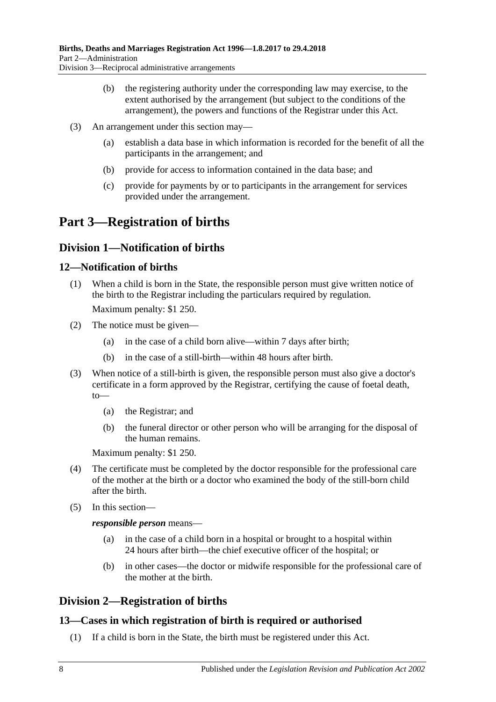- (b) the registering authority under the corresponding law may exercise, to the extent authorised by the arrangement (but subject to the conditions of the arrangement), the powers and functions of the Registrar under this Act.
- (3) An arrangement under this section may—
	- (a) establish a data base in which information is recorded for the benefit of all the participants in the arrangement; and
	- (b) provide for access to information contained in the data base; and
	- (c) provide for payments by or to participants in the arrangement for services provided under the arrangement.

# <span id="page-7-0"></span>**Part 3—Registration of births**

## <span id="page-7-1"></span>**Division 1—Notification of births**

## <span id="page-7-2"></span>**12—Notification of births**

- (1) When a child is born in the State, the responsible person must give written notice of the birth to the Registrar including the particulars required by regulation. Maximum penalty: \$1 250.
- (2) The notice must be given—
	- (a) in the case of a child born alive—within 7 days after birth;
	- (b) in the case of a still-birth—within 48 hours after birth.
- (3) When notice of a still-birth is given, the responsible person must also give a doctor's certificate in a form approved by the Registrar, certifying the cause of foetal death, to—
	- (a) the Registrar; and
	- (b) the funeral director or other person who will be arranging for the disposal of the human remains.

Maximum penalty: \$1 250.

- (4) The certificate must be completed by the doctor responsible for the professional care of the mother at the birth or a doctor who examined the body of the still-born child after the birth.
- (5) In this section—

## *responsible person* means—

- (a) in the case of a child born in a hospital or brought to a hospital within 24 hours after birth—the chief executive officer of the hospital; or
- (b) in other cases—the doctor or midwife responsible for the professional care of the mother at the birth.

## <span id="page-7-3"></span>**Division 2—Registration of births**

## <span id="page-7-4"></span>**13—Cases in which registration of birth is required or authorised**

(1) If a child is born in the State, the birth must be registered under this Act.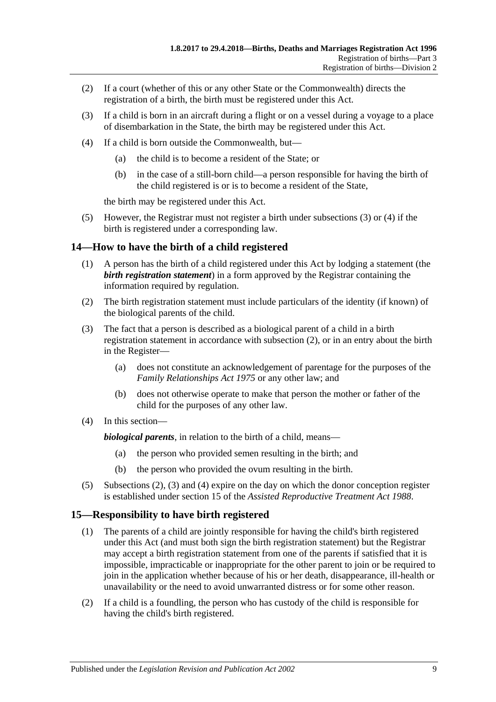- (2) If a court (whether of this or any other State or the Commonwealth) directs the registration of a birth, the birth must be registered under this Act.
- <span id="page-8-2"></span>(3) If a child is born in an aircraft during a flight or on a vessel during a voyage to a place of disembarkation in the State, the birth may be registered under this Act.
- <span id="page-8-3"></span>(4) If a child is born outside the Commonwealth, but—
	- (a) the child is to become a resident of the State; or
	- (b) in the case of a still-born child—a person responsible for having the birth of the child registered is or is to become a resident of the State,

the birth may be registered under this Act.

(5) However, the Registrar must not register a birth under [subsections](#page-8-2) (3) or [\(4\)](#page-8-3) if the birth is registered under a corresponding law.

### <span id="page-8-0"></span>**14—How to have the birth of a child registered**

- (1) A person has the birth of a child registered under this Act by lodging a statement (the *birth registration statement*) in a form approved by the Registrar containing the information required by regulation.
- <span id="page-8-4"></span>(2) The birth registration statement must include particulars of the identity (if known) of the biological parents of the child.
- <span id="page-8-5"></span>(3) The fact that a person is described as a biological parent of a child in a birth registration statement in accordance with [subsection](#page-8-4) (2), or in an entry about the birth in the Register—
	- (a) does not constitute an acknowledgement of parentage for the purposes of the *[Family Relationships Act](http://www.legislation.sa.gov.au/index.aspx?action=legref&type=act&legtitle=Family%20Relationships%20Act%201975) 1975* or any other law; and
	- (b) does not otherwise operate to make that person the mother or father of the child for the purposes of any other law.
- <span id="page-8-6"></span>(4) In this section—

*biological parents*, in relation to the birth of a child, means—

- (a) the person who provided semen resulting in the birth; and
- (b) the person who provided the ovum resulting in the birth.
- (5) [Subsections](#page-8-4) (2), [\(3\)](#page-8-5) and [\(4\)](#page-8-6) expire on the day on which the donor conception register is established under section 15 of the *[Assisted Reproductive Treatment Act](http://www.legislation.sa.gov.au/index.aspx?action=legref&type=act&legtitle=Assisted%20Reproductive%20Treatment%20Act%201988) 1988*.

## <span id="page-8-1"></span>**15—Responsibility to have birth registered**

- (1) The parents of a child are jointly responsible for having the child's birth registered under this Act (and must both sign the birth registration statement) but the Registrar may accept a birth registration statement from one of the parents if satisfied that it is impossible, impracticable or inappropriate for the other parent to join or be required to join in the application whether because of his or her death, disappearance, ill-health or unavailability or the need to avoid unwarranted distress or for some other reason.
- (2) If a child is a foundling, the person who has custody of the child is responsible for having the child's birth registered.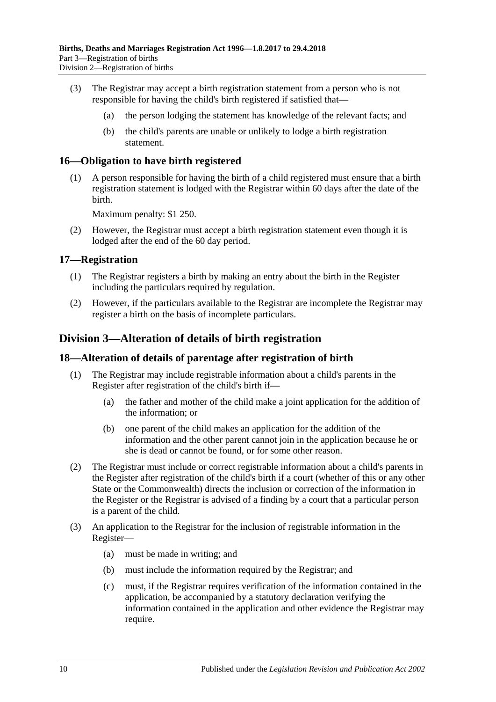- (3) The Registrar may accept a birth registration statement from a person who is not responsible for having the child's birth registered if satisfied that—
	- (a) the person lodging the statement has knowledge of the relevant facts; and
	- (b) the child's parents are unable or unlikely to lodge a birth registration statement.

### <span id="page-9-0"></span>**16—Obligation to have birth registered**

(1) A person responsible for having the birth of a child registered must ensure that a birth registration statement is lodged with the Registrar within 60 days after the date of the birth.

Maximum penalty: \$1 250.

(2) However, the Registrar must accept a birth registration statement even though it is lodged after the end of the 60 day period.

### <span id="page-9-1"></span>**17—Registration**

- (1) The Registrar registers a birth by making an entry about the birth in the Register including the particulars required by regulation.
- (2) However, if the particulars available to the Registrar are incomplete the Registrar may register a birth on the basis of incomplete particulars.

## <span id="page-9-2"></span>**Division 3—Alteration of details of birth registration**

### <span id="page-9-3"></span>**18—Alteration of details of parentage after registration of birth**

- (1) The Registrar may include registrable information about a child's parents in the Register after registration of the child's birth if—
	- (a) the father and mother of the child make a joint application for the addition of the information; or
	- (b) one parent of the child makes an application for the addition of the information and the other parent cannot join in the application because he or she is dead or cannot be found, or for some other reason.
- (2) The Registrar must include or correct registrable information about a child's parents in the Register after registration of the child's birth if a court (whether of this or any other State or the Commonwealth) directs the inclusion or correction of the information in the Register or the Registrar is advised of a finding by a court that a particular person is a parent of the child.
- (3) An application to the Registrar for the inclusion of registrable information in the Register—
	- (a) must be made in writing; and
	- (b) must include the information required by the Registrar; and
	- (c) must, if the Registrar requires verification of the information contained in the application, be accompanied by a statutory declaration verifying the information contained in the application and other evidence the Registrar may require.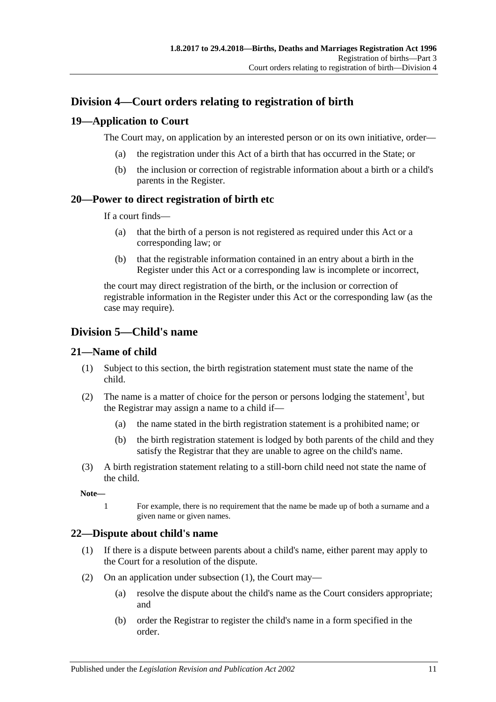## <span id="page-10-0"></span>**Division 4—Court orders relating to registration of birth**

## <span id="page-10-1"></span>**19—Application to Court**

The Court may, on application by an interested person or on its own initiative, order—

- (a) the registration under this Act of a birth that has occurred in the State; or
- (b) the inclusion or correction of registrable information about a birth or a child's parents in the Register.

## <span id="page-10-2"></span>**20—Power to direct registration of birth etc**

If a court finds—

- (a) that the birth of a person is not registered as required under this Act or a corresponding law; or
- (b) that the registrable information contained in an entry about a birth in the Register under this Act or a corresponding law is incomplete or incorrect,

the court may direct registration of the birth, or the inclusion or correction of registrable information in the Register under this Act or the corresponding law (as the case may require).

## <span id="page-10-3"></span>**Division 5—Child's name**

## <span id="page-10-4"></span>**21—Name of child**

- (1) Subject to this section, the birth registration statement must state the name of the child.
- (2) The name is a matter of choice for the person or persons lodging the statement<sup>1</sup>, but the Registrar may assign a name to a child if—
	- (a) the name stated in the birth registration statement is a prohibited name; or
	- (b) the birth registration statement is lodged by both parents of the child and they satisfy the Registrar that they are unable to agree on the child's name.
- (3) A birth registration statement relating to a still-born child need not state the name of the child.

**Note—**

1 For example, there is no requirement that the name be made up of both a surname and a given name or given names.

## <span id="page-10-6"></span><span id="page-10-5"></span>**22—Dispute about child's name**

- (1) If there is a dispute between parents about a child's name, either parent may apply to the Court for a resolution of the dispute.
- (2) On an application under [subsection](#page-10-6) (1), the Court may—
	- (a) resolve the dispute about the child's name as the Court considers appropriate; and
	- (b) order the Registrar to register the child's name in a form specified in the order.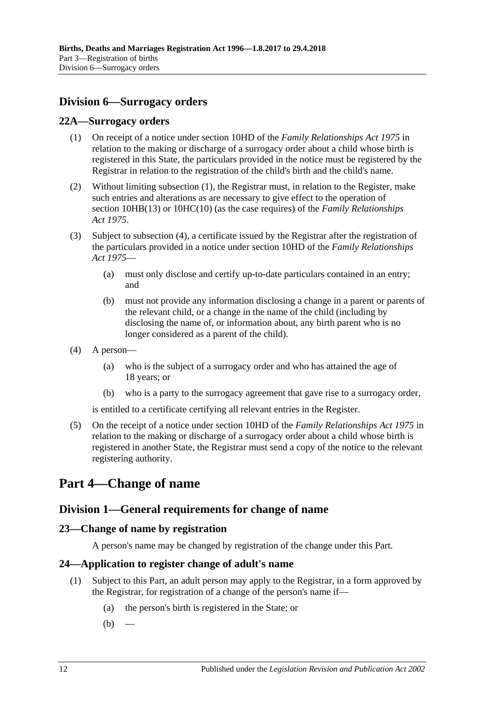## <span id="page-11-0"></span>**Division 6—Surrogacy orders**

### <span id="page-11-6"></span><span id="page-11-1"></span>**22A—Surrogacy orders**

- (1) On receipt of a notice under section 10HD of the *[Family Relationships Act](http://www.legislation.sa.gov.au/index.aspx?action=legref&type=act&legtitle=Family%20Relationships%20Act%201975) 1975* in relation to the making or discharge of a surrogacy order about a child whose birth is registered in this State, the particulars provided in the notice must be registered by the Registrar in relation to the registration of the child's birth and the child's name.
- (2) Without limiting [subsection](#page-11-6) (1), the Registrar must, in relation to the Register, make such entries and alterations as are necessary to give effect to the operation of section 10HB(13) or 10HC(10) (as the case requires) of the *[Family Relationships](http://www.legislation.sa.gov.au/index.aspx?action=legref&type=act&legtitle=Family%20Relationships%20Act%201975)  Act [1975](http://www.legislation.sa.gov.au/index.aspx?action=legref&type=act&legtitle=Family%20Relationships%20Act%201975)*.
- (3) Subject to [subsection](#page-11-7) (4), a certificate issued by the Registrar after the registration of the particulars provided in a notice under section 10HD of the *[Family Relationships](http://www.legislation.sa.gov.au/index.aspx?action=legref&type=act&legtitle=Family%20Relationships%20Act%201975)  Act [1975](http://www.legislation.sa.gov.au/index.aspx?action=legref&type=act&legtitle=Family%20Relationships%20Act%201975)*—
	- (a) must only disclose and certify up-to-date particulars contained in an entry; and
	- (b) must not provide any information disclosing a change in a parent or parents of the relevant child, or a change in the name of the child (including by disclosing the name of, or information about, any birth parent who is no longer considered as a parent of the child).
- <span id="page-11-7"></span>(4) A person—
	- (a) who is the subject of a surrogacy order and who has attained the age of 18 years; or
	- (b) who is a party to the surrogacy agreement that gave rise to a surrogacy order,

is entitled to a certificate certifying all relevant entries in the Register.

(5) On the receipt of a notice under section 10HD of the *[Family Relationships Act](http://www.legislation.sa.gov.au/index.aspx?action=legref&type=act&legtitle=Family%20Relationships%20Act%201975) 1975* in relation to the making or discharge of a surrogacy order about a child whose birth is registered in another State, the Registrar must send a copy of the notice to the relevant registering authority.

## <span id="page-11-3"></span><span id="page-11-2"></span>**Part 4—Change of name**

## **Division 1—General requirements for change of name**

## <span id="page-11-4"></span>**23—Change of name by registration**

A person's name may be changed by registration of the change under this Part.

## <span id="page-11-8"></span><span id="page-11-5"></span>**24—Application to register change of adult's name**

- (1) Subject to this Part, an adult person may apply to the Registrar, in a form approved by the Registrar, for registration of a change of the person's name if—
	- (a) the person's birth is registered in the State; or
	- $(b)$  —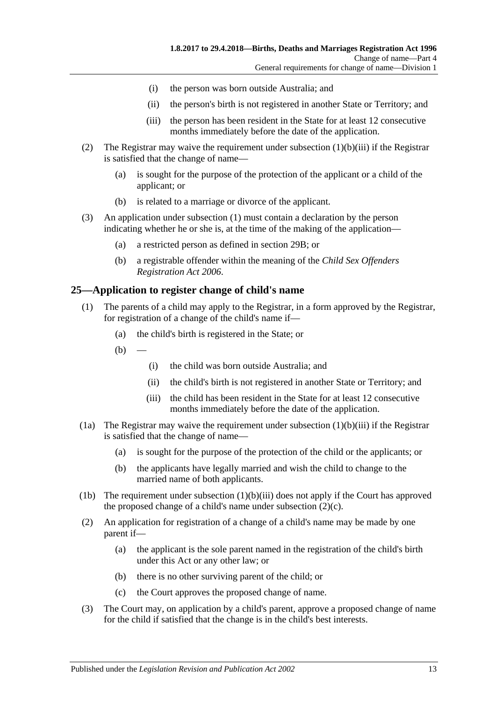- (i) the person was born outside Australia; and
- (ii) the person's birth is not registered in another State or Territory; and
- (iii) the person has been resident in the State for at least 12 consecutive months immediately before the date of the application.
- <span id="page-12-1"></span>(2) The Registrar may waive the requirement under [subsection](#page-12-1) (1)(b)(iii) if the Registrar is satisfied that the change of name—
	- (a) is sought for the purpose of the protection of the applicant or a child of the applicant; or
	- (b) is related to a marriage or divorce of the applicant.
- (3) An application under [subsection](#page-11-8) (1) must contain a declaration by the person indicating whether he or she is, at the time of the making of the application—
	- (a) a restricted person as defined in [section](#page-14-1) 29B; or
	- (b) a registrable offender within the meaning of the *[Child Sex Offenders](http://www.legislation.sa.gov.au/index.aspx?action=legref&type=act&legtitle=Child%20Sex%20Offenders%20Registration%20Act%202006)  [Registration Act](http://www.legislation.sa.gov.au/index.aspx?action=legref&type=act&legtitle=Child%20Sex%20Offenders%20Registration%20Act%202006) 2006*.

### <span id="page-12-0"></span>**25—Application to register change of child's name**

- (1) The parents of a child may apply to the Registrar, in a form approved by the Registrar, for registration of a change of the child's name if—
	- (a) the child's birth is registered in the State; or
	- $(b)$ 
		- (i) the child was born outside Australia; and
		- (ii) the child's birth is not registered in another State or Territory; and
		- (iii) the child has been resident in the State for at least 12 consecutive months immediately before the date of the application.
- <span id="page-12-2"></span>(1a) The Registrar may waive the requirement under [subsection](#page-12-2)  $(1)(b)(iii)$  if the Registrar is satisfied that the change of name—
	- (a) is sought for the purpose of the protection of the child or the applicants; or
	- (b) the applicants have legally married and wish the child to change to the married name of both applicants.
- (1b) The requirement under [subsection](#page-12-2)  $(1)(b)(iii)$  does not apply if the Court has approved the proposed change of a child's name under [subsection](#page-12-3)  $(2)(c)$ .
- (2) An application for registration of a change of a child's name may be made by one parent if—
	- (a) the applicant is the sole parent named in the registration of the child's birth under this Act or any other law; or
	- (b) there is no other surviving parent of the child; or
	- (c) the Court approves the proposed change of name.
- <span id="page-12-3"></span>(3) The Court may, on application by a child's parent, approve a proposed change of name for the child if satisfied that the change is in the child's best interests.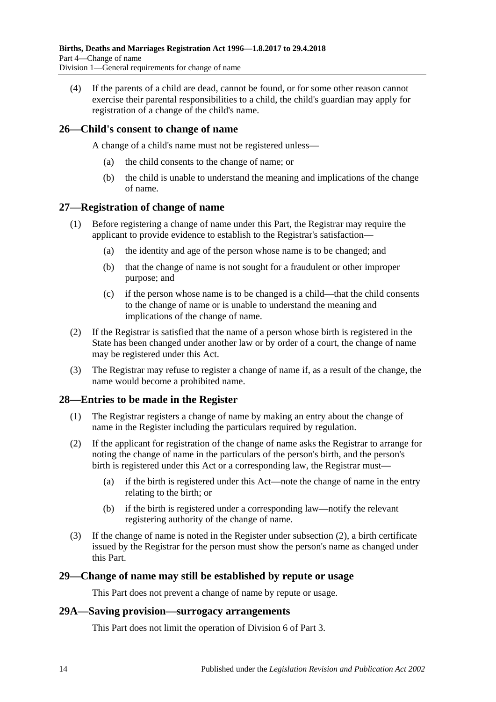(4) If the parents of a child are dead, cannot be found, or for some other reason cannot exercise their parental responsibilities to a child, the child's guardian may apply for registration of a change of the child's name.

## <span id="page-13-0"></span>**26—Child's consent to change of name**

A change of a child's name must not be registered unless—

- (a) the child consents to the change of name; or
- (b) the child is unable to understand the meaning and implications of the change of name.

### <span id="page-13-1"></span>**27—Registration of change of name**

- (1) Before registering a change of name under this Part, the Registrar may require the applicant to provide evidence to establish to the Registrar's satisfaction—
	- (a) the identity and age of the person whose name is to be changed; and
	- (b) that the change of name is not sought for a fraudulent or other improper purpose; and
	- (c) if the person whose name is to be changed is a child—that the child consents to the change of name or is unable to understand the meaning and implications of the change of name.
- (2) If the Registrar is satisfied that the name of a person whose birth is registered in the State has been changed under another law or by order of a court, the change of name may be registered under this Act.
- (3) The Registrar may refuse to register a change of name if, as a result of the change, the name would become a prohibited name.

### <span id="page-13-2"></span>**28—Entries to be made in the Register**

- (1) The Registrar registers a change of name by making an entry about the change of name in the Register including the particulars required by regulation.
- <span id="page-13-5"></span>(2) If the applicant for registration of the change of name asks the Registrar to arrange for noting the change of name in the particulars of the person's birth, and the person's birth is registered under this Act or a corresponding law, the Registrar must—
	- (a) if the birth is registered under this Act—note the change of name in the entry relating to the birth; or
	- (b) if the birth is registered under a corresponding law—notify the relevant registering authority of the change of name.
- (3) If the change of name is noted in the Register under [subsection](#page-13-5) (2), a birth certificate issued by the Registrar for the person must show the person's name as changed under this Part.

### <span id="page-13-3"></span>**29—Change of name may still be established by repute or usage**

This Part does not prevent a change of name by repute or usage.

### <span id="page-13-4"></span>**29A—Saving provision—surrogacy arrangements**

This Part does not limit the operation of [Division 6](#page-11-0) of [Part 3.](#page-7-0)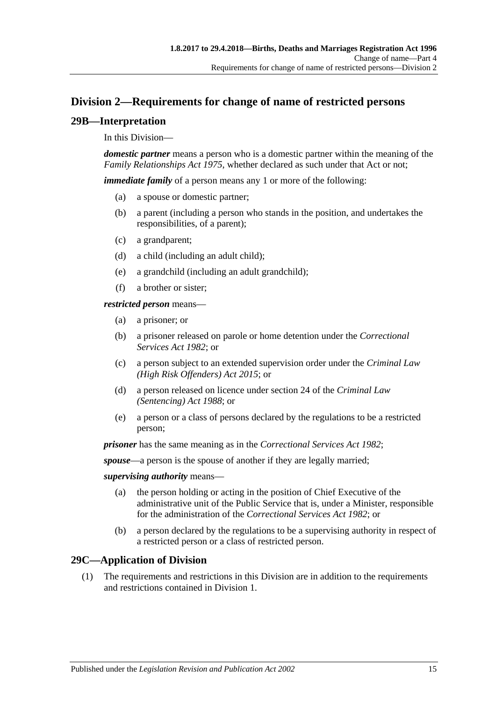## <span id="page-14-0"></span>**Division 2—Requirements for change of name of restricted persons**

## <span id="page-14-1"></span>**29B—Interpretation**

### In this Division—

*domestic partner* means a person who is a domestic partner within the meaning of the *[Family Relationships Act](http://www.legislation.sa.gov.au/index.aspx?action=legref&type=act&legtitle=Family%20Relationships%20Act%201975) 1975*, whether declared as such under that Act or not;

*immediate family* of a person means any 1 or more of the following:

- (a) a spouse or domestic partner;
- (b) a parent (including a person who stands in the position, and undertakes the responsibilities, of a parent);
- (c) a grandparent;
- (d) a child (including an adult child);
- (e) a grandchild (including an adult grandchild);
- (f) a brother or sister;

#### *restricted person* means—

- (a) a prisoner; or
- (b) a prisoner released on parole or home detention under the *[Correctional](http://www.legislation.sa.gov.au/index.aspx?action=legref&type=act&legtitle=Correctional%20Services%20Act%201982)  [Services Act](http://www.legislation.sa.gov.au/index.aspx?action=legref&type=act&legtitle=Correctional%20Services%20Act%201982) 1982*; or
- (c) a person subject to an extended supervision order under the *[Criminal Law](http://www.legislation.sa.gov.au/index.aspx?action=legref&type=act&legtitle=Criminal%20Law%20(High%20Risk%20Offenders)%20Act%202015)  [\(High Risk Offenders\) Act](http://www.legislation.sa.gov.au/index.aspx?action=legref&type=act&legtitle=Criminal%20Law%20(High%20Risk%20Offenders)%20Act%202015) 2015*; or
- (d) a person released on licence under section 24 of the *[Criminal Law](http://www.legislation.sa.gov.au/index.aspx?action=legref&type=act&legtitle=Criminal%20Law%20(Sentencing)%20Act%201988)  [\(Sentencing\) Act](http://www.legislation.sa.gov.au/index.aspx?action=legref&type=act&legtitle=Criminal%20Law%20(Sentencing)%20Act%201988) 1988*; or
- (e) a person or a class of persons declared by the regulations to be a restricted person;

*prisoner* has the same meaning as in the *[Correctional Services Act](http://www.legislation.sa.gov.au/index.aspx?action=legref&type=act&legtitle=Correctional%20Services%20Act%201982) 1982*;

*spouse*—a person is the spouse of another if they are legally married;

#### *supervising authority* means—

- (a) the person holding or acting in the position of Chief Executive of the administrative unit of the Public Service that is, under a Minister, responsible for the administration of the *[Correctional Services Act](http://www.legislation.sa.gov.au/index.aspx?action=legref&type=act&legtitle=Correctional%20Services%20Act%201982) 1982*; or
- (b) a person declared by the regulations to be a supervising authority in respect of a restricted person or a class of restricted person.

## <span id="page-14-2"></span>**29C—Application of Division**

(1) The requirements and restrictions in this Division are in addition to the requirements and restrictions contained in [Division 1.](#page-11-3)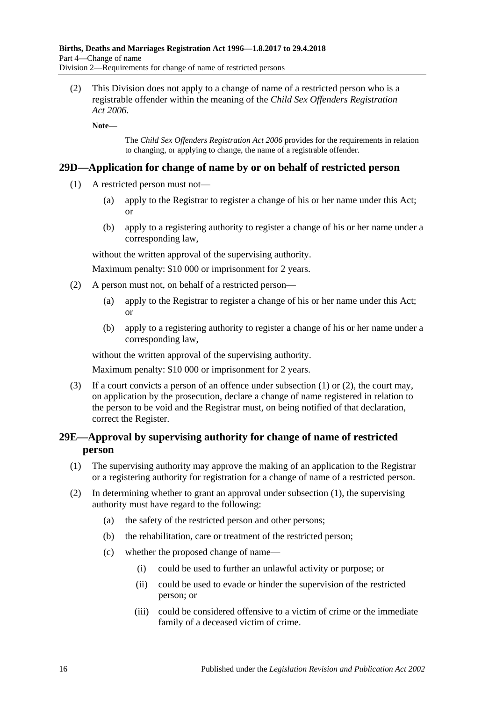(2) This Division does not apply to a change of name of a restricted person who is a registrable offender within the meaning of the *[Child Sex Offenders Registration](http://www.legislation.sa.gov.au/index.aspx?action=legref&type=act&legtitle=Child%20Sex%20Offenders%20Registration%20Act%202006)  Act [2006](http://www.legislation.sa.gov.au/index.aspx?action=legref&type=act&legtitle=Child%20Sex%20Offenders%20Registration%20Act%202006)*.

**Note—**

The *[Child Sex Offenders Registration Act](http://www.legislation.sa.gov.au/index.aspx?action=legref&type=act&legtitle=Child%20Sex%20Offenders%20Registration%20Act%202006) 2006* provides for the requirements in relation to changing, or applying to change, the name of a registrable offender.

### <span id="page-15-2"></span><span id="page-15-0"></span>**29D—Application for change of name by or on behalf of restricted person**

- (1) A restricted person must not—
	- (a) apply to the Registrar to register a change of his or her name under this Act; or
	- (b) apply to a registering authority to register a change of his or her name under a corresponding law,

without the written approval of the supervising authority.

Maximum penalty: \$10 000 or imprisonment for 2 years.

- <span id="page-15-3"></span>(2) A person must not, on behalf of a restricted person—
	- (a) apply to the Registrar to register a change of his or her name under this Act; or
	- (b) apply to a registering authority to register a change of his or her name under a corresponding law,

without the written approval of the supervising authority.

Maximum penalty: \$10 000 or imprisonment for 2 years.

(3) If a court convicts a person of an offence under [subsection \(1\)](#page-15-2) or [\(2\),](#page-15-3) the court may, on application by the prosecution, declare a change of name registered in relation to the person to be void and the Registrar must, on being notified of that declaration, correct the Register.

## <span id="page-15-1"></span>**29E—Approval by supervising authority for change of name of restricted person**

- <span id="page-15-4"></span>(1) The supervising authority may approve the making of an application to the Registrar or a registering authority for registration for a change of name of a restricted person.
- (2) In determining whether to grant an approval under [subsection](#page-15-4) (1), the supervising authority must have regard to the following:
	- (a) the safety of the restricted person and other persons;
	- (b) the rehabilitation, care or treatment of the restricted person;
	- (c) whether the proposed change of name—
		- (i) could be used to further an unlawful activity or purpose; or
		- (ii) could be used to evade or hinder the supervision of the restricted person; or
		- (iii) could be considered offensive to a victim of crime or the immediate family of a deceased victim of crime.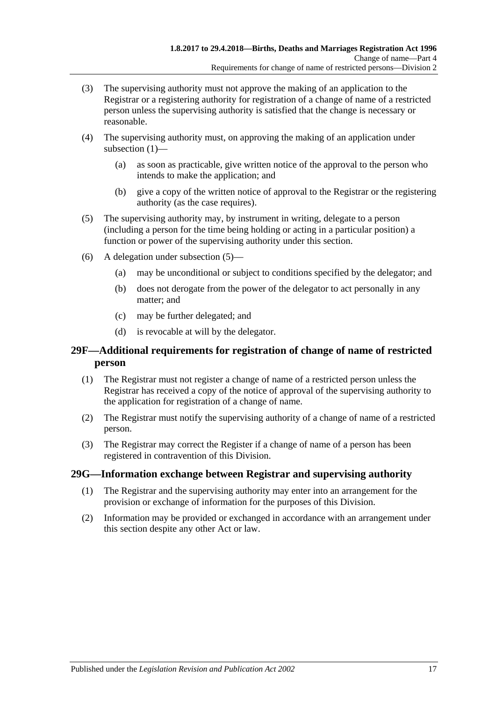- (3) The supervising authority must not approve the making of an application to the Registrar or a registering authority for registration of a change of name of a restricted person unless the supervising authority is satisfied that the change is necessary or reasonable.
- (4) The supervising authority must, on approving the making of an application under [subsection](#page-15-4) (1)—
	- (a) as soon as practicable, give written notice of the approval to the person who intends to make the application; and
	- (b) give a copy of the written notice of approval to the Registrar or the registering authority (as the case requires).
- <span id="page-16-2"></span>(5) The supervising authority may, by instrument in writing, delegate to a person (including a person for the time being holding or acting in a particular position) a function or power of the supervising authority under this section.
- (6) A delegation under [subsection](#page-16-2) (5)—
	- (a) may be unconditional or subject to conditions specified by the delegator; and
	- (b) does not derogate from the power of the delegator to act personally in any matter; and
	- (c) may be further delegated; and
	- (d) is revocable at will by the delegator.

## <span id="page-16-0"></span>**29F—Additional requirements for registration of change of name of restricted person**

- (1) The Registrar must not register a change of name of a restricted person unless the Registrar has received a copy of the notice of approval of the supervising authority to the application for registration of a change of name.
- (2) The Registrar must notify the supervising authority of a change of name of a restricted person.
- (3) The Registrar may correct the Register if a change of name of a person has been registered in contravention of this Division.

### <span id="page-16-1"></span>**29G—Information exchange between Registrar and supervising authority**

- (1) The Registrar and the supervising authority may enter into an arrangement for the provision or exchange of information for the purposes of this Division.
- (2) Information may be provided or exchanged in accordance with an arrangement under this section despite any other Act or law.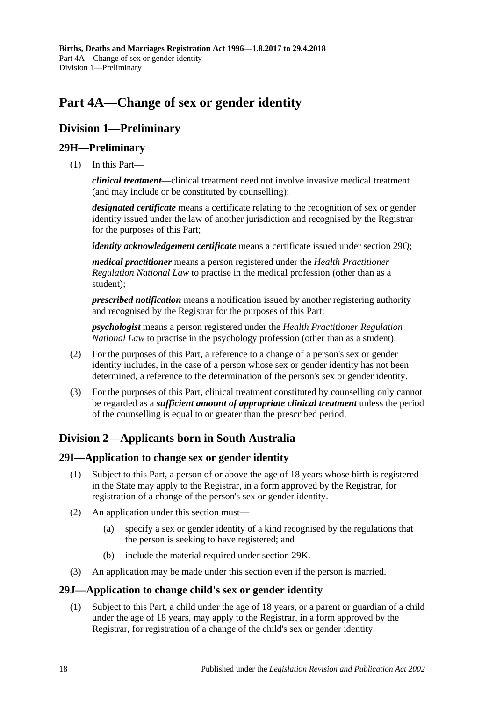# <span id="page-17-0"></span>**Part 4A—Change of sex or gender identity**

## <span id="page-17-1"></span>**Division 1—Preliminary**

## <span id="page-17-2"></span>**29H—Preliminary**

(1) In this Part—

*clinical treatment*—clinical treatment need not involve invasive medical treatment (and may include or be constituted by counselling);

*designated certificate* means a certificate relating to the recognition of sex or gender identity issued under the law of another jurisdiction and recognised by the Registrar for the purposes of this Part;

*identity acknowledgement certificate* means a certificate issued under [section](#page-21-0) 29Q;

*medical practitioner* means a person registered under the *Health Practitioner Regulation National Law* to practise in the medical profession (other than as a student);

*prescribed notification* means a notification issued by another registering authority and recognised by the Registrar for the purposes of this Part;

*psychologist* means a person registered under the *Health Practitioner Regulation National Law* to practise in the psychology profession (other than as a student).

- (2) For the purposes of this Part, a reference to a change of a person's sex or gender identity includes, in the case of a person whose sex or gender identity has not been determined, a reference to the determination of the person's sex or gender identity.
- (3) For the purposes of this Part, clinical treatment constituted by counselling only cannot be regarded as a *sufficient amount of appropriate clinical treatment* unless the period of the counselling is equal to or greater than the prescribed period.

## <span id="page-17-3"></span>**Division 2—Applicants born in South Australia**

## <span id="page-17-4"></span>**29I—Application to change sex or gender identity**

- (1) Subject to this Part, a person of or above the age of 18 years whose birth is registered in the State may apply to the Registrar, in a form approved by the Registrar, for registration of a change of the person's sex or gender identity.
- (2) An application under this section must—
	- (a) specify a sex or gender identity of a kind recognised by the regulations that the person is seeking to have registered; and
	- (b) include the material required under [section](#page-18-0) 29K.
- (3) An application may be made under this section even if the person is married.

## <span id="page-17-6"></span><span id="page-17-5"></span>**29J—Application to change child's sex or gender identity**

(1) Subject to this Part, a child under the age of 18 years, or a parent or guardian of a child under the age of 18 years, may apply to the Registrar, in a form approved by the Registrar, for registration of a change of the child's sex or gender identity.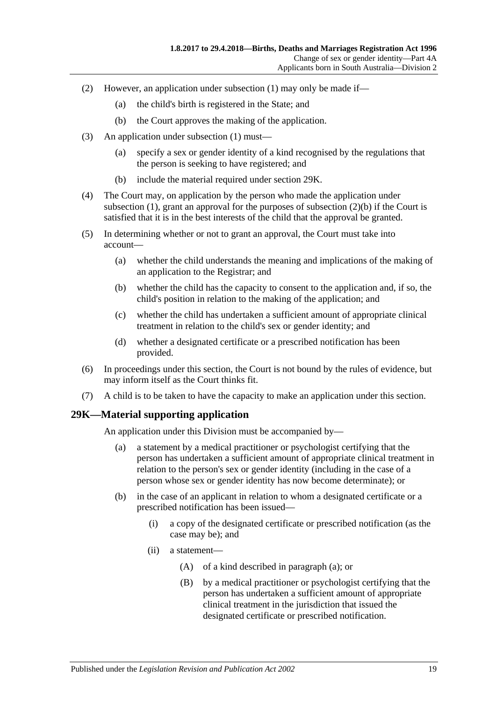- (2) However, an application under [subsection](#page-17-6) (1) may only be made if—
	- (a) the child's birth is registered in the State; and
	- (b) the Court approves the making of the application.
- <span id="page-18-1"></span>(3) An application under [subsection](#page-17-6) (1) must—
	- (a) specify a sex or gender identity of a kind recognised by the regulations that the person is seeking to have registered; and
	- (b) include the material required under [section](#page-18-0) 29K.
- (4) The Court may, on application by the person who made the application under [subsection](#page-17-6) (1), grant an approval for the purposes of [subsection](#page-18-1)  $(2)(b)$  if the Court is satisfied that it is in the best interests of the child that the approval be granted.
- (5) In determining whether or not to grant an approval, the Court must take into account—
	- (a) whether the child understands the meaning and implications of the making of an application to the Registrar; and
	- (b) whether the child has the capacity to consent to the application and, if so, the child's position in relation to the making of the application; and
	- (c) whether the child has undertaken a sufficient amount of appropriate clinical treatment in relation to the child's sex or gender identity; and
	- (d) whether a designated certificate or a prescribed notification has been provided.
- (6) In proceedings under this section, the Court is not bound by the rules of evidence, but may inform itself as the Court thinks fit.
- (7) A child is to be taken to have the capacity to make an application under this section.

## <span id="page-18-2"></span><span id="page-18-0"></span>**29K—Material supporting application**

An application under this Division must be accompanied by—

- (a) a statement by a medical practitioner or psychologist certifying that the person has undertaken a sufficient amount of appropriate clinical treatment in relation to the person's sex or gender identity (including in the case of a person whose sex or gender identity has now become determinate); or
- (b) in the case of an applicant in relation to whom a designated certificate or a prescribed notification has been issued—
	- (i) a copy of the designated certificate or prescribed notification (as the case may be); and
	- (ii) a statement—
		- (A) of a kind described in [paragraph](#page-18-2) (a); or
		- (B) by a medical practitioner or psychologist certifying that the person has undertaken a sufficient amount of appropriate clinical treatment in the jurisdiction that issued the designated certificate or prescribed notification.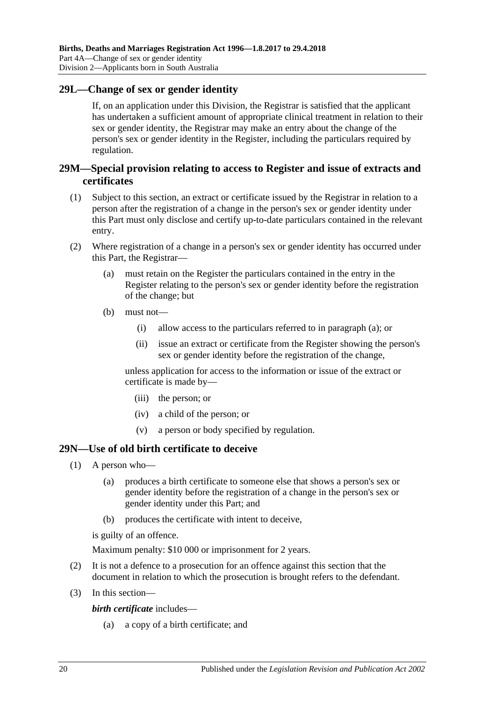### <span id="page-19-0"></span>**29L—Change of sex or gender identity**

If, on an application under this Division, the Registrar is satisfied that the applicant has undertaken a sufficient amount of appropriate clinical treatment in relation to their sex or gender identity, the Registrar may make an entry about the change of the person's sex or gender identity in the Register, including the particulars required by regulation.

## <span id="page-19-1"></span>**29M—Special provision relating to access to Register and issue of extracts and certificates**

- (1) Subject to this section, an extract or certificate issued by the Registrar in relation to a person after the registration of a change in the person's sex or gender identity under this Part must only disclose and certify up-to-date particulars contained in the relevant entry.
- <span id="page-19-3"></span>(2) Where registration of a change in a person's sex or gender identity has occurred under this Part, the Registrar—
	- (a) must retain on the Register the particulars contained in the entry in the Register relating to the person's sex or gender identity before the registration of the change; but
	- (b) must not—
		- (i) allow access to the particulars referred to in [paragraph](#page-19-3) (a); or
		- (ii) issue an extract or certificate from the Register showing the person's sex or gender identity before the registration of the change,

unless application for access to the information or issue of the extract or certificate is made by—

- (iii) the person; or
- (iv) a child of the person; or
- (v) a person or body specified by regulation.

### <span id="page-19-2"></span>**29N—Use of old birth certificate to deceive**

- (1) A person who—
	- (a) produces a birth certificate to someone else that shows a person's sex or gender identity before the registration of a change in the person's sex or gender identity under this Part; and
	- (b) produces the certificate with intent to deceive,

is guilty of an offence.

Maximum penalty: \$10 000 or imprisonment for 2 years.

- (2) It is not a defence to a prosecution for an offence against this section that the document in relation to which the prosecution is brought refers to the defendant.
- (3) In this section—

*birth certificate* includes—

(a) a copy of a birth certificate; and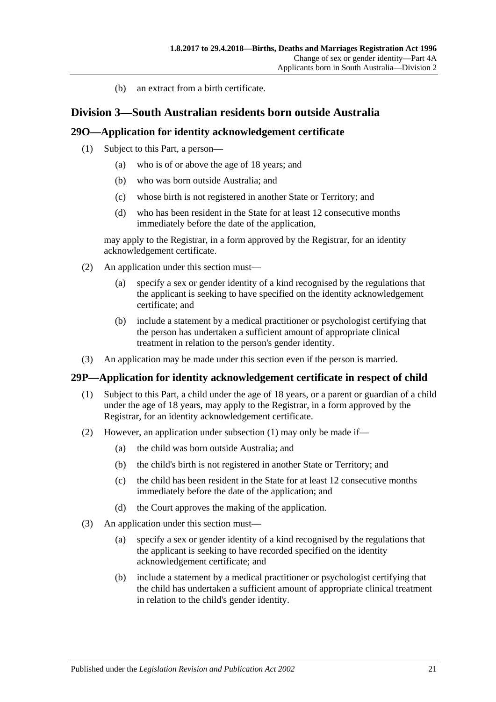(b) an extract from a birth certificate.

## <span id="page-20-0"></span>**Division 3—South Australian residents born outside Australia**

### <span id="page-20-1"></span>**29O—Application for identity acknowledgement certificate**

- (1) Subject to this Part, a person—
	- (a) who is of or above the age of 18 years; and
	- (b) who was born outside Australia; and
	- (c) whose birth is not registered in another State or Territory; and
	- (d) who has been resident in the State for at least 12 consecutive months immediately before the date of the application,

may apply to the Registrar, in a form approved by the Registrar, for an identity acknowledgement certificate.

- (2) An application under this section must—
	- (a) specify a sex or gender identity of a kind recognised by the regulations that the applicant is seeking to have specified on the identity acknowledgement certificate; and
	- (b) include a statement by a medical practitioner or psychologist certifying that the person has undertaken a sufficient amount of appropriate clinical treatment in relation to the person's gender identity.
- (3) An application may be made under this section even if the person is married.

### <span id="page-20-3"></span><span id="page-20-2"></span>**29P—Application for identity acknowledgement certificate in respect of child**

- (1) Subject to this Part, a child under the age of 18 years, or a parent or guardian of a child under the age of 18 years, may apply to the Registrar, in a form approved by the Registrar, for an identity acknowledgement certificate.
- (2) However, an application under [subsection](#page-20-3) (1) may only be made if—
	- (a) the child was born outside Australia; and
	- (b) the child's birth is not registered in another State or Territory; and
	- (c) the child has been resident in the State for at least 12 consecutive months immediately before the date of the application; and
	- (d) the Court approves the making of the application.
- <span id="page-20-4"></span>(3) An application under this section must—
	- (a) specify a sex or gender identity of a kind recognised by the regulations that the applicant is seeking to have recorded specified on the identity acknowledgement certificate; and
	- (b) include a statement by a medical practitioner or psychologist certifying that the child has undertaken a sufficient amount of appropriate clinical treatment in relation to the child's gender identity.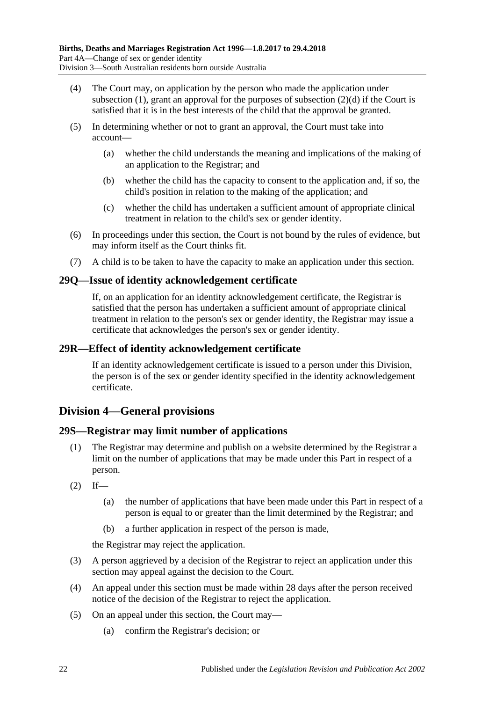- (4) The Court may, on application by the person who made the application under [subsection](#page-17-6) (1), grant an approval for the purposes of [subsection](#page-20-4) (2)(d) if the Court is satisfied that it is in the best interests of the child that the approval be granted.
- (5) In determining whether or not to grant an approval, the Court must take into account—
	- (a) whether the child understands the meaning and implications of the making of an application to the Registrar; and
	- (b) whether the child has the capacity to consent to the application and, if so, the child's position in relation to the making of the application; and
	- (c) whether the child has undertaken a sufficient amount of appropriate clinical treatment in relation to the child's sex or gender identity.
- (6) In proceedings under this section, the Court is not bound by the rules of evidence, but may inform itself as the Court thinks fit.
- (7) A child is to be taken to have the capacity to make an application under this section.

## <span id="page-21-0"></span>**29Q—Issue of identity acknowledgement certificate**

If, on an application for an identity acknowledgement certificate, the Registrar is satisfied that the person has undertaken a sufficient amount of appropriate clinical treatment in relation to the person's sex or gender identity, the Registrar may issue a certificate that acknowledges the person's sex or gender identity.

### <span id="page-21-1"></span>**29R—Effect of identity acknowledgement certificate**

If an identity acknowledgement certificate is issued to a person under this Division, the person is of the sex or gender identity specified in the identity acknowledgement certificate.

## <span id="page-21-2"></span>**Division 4—General provisions**

## <span id="page-21-3"></span>**29S—Registrar may limit number of applications**

- (1) The Registrar may determine and publish on a website determined by the Registrar a limit on the number of applications that may be made under this Part in respect of a person.
- $(2)$  If—
	- (a) the number of applications that have been made under this Part in respect of a person is equal to or greater than the limit determined by the Registrar; and
	- (b) a further application in respect of the person is made,

the Registrar may reject the application.

- (3) A person aggrieved by a decision of the Registrar to reject an application under this section may appeal against the decision to the Court.
- (4) An appeal under this section must be made within 28 days after the person received notice of the decision of the Registrar to reject the application.
- (5) On an appeal under this section, the Court may—
	- (a) confirm the Registrar's decision; or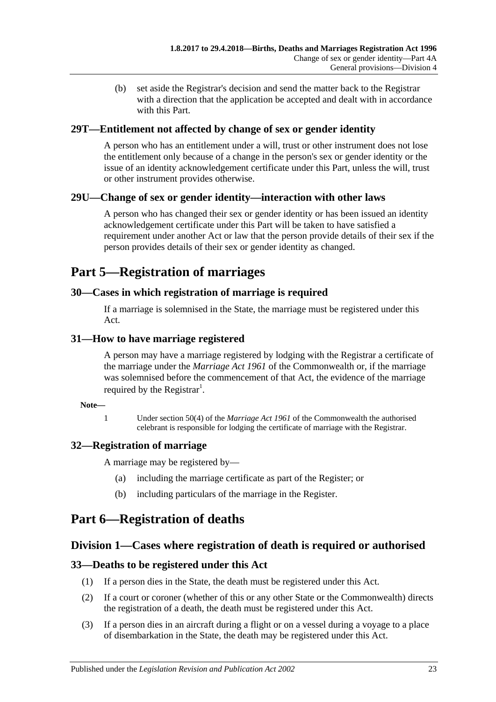(b) set aside the Registrar's decision and send the matter back to the Registrar with a direction that the application be accepted and dealt with in accordance with this Part.

## <span id="page-22-0"></span>**29T—Entitlement not affected by change of sex or gender identity**

A person who has an entitlement under a will, trust or other instrument does not lose the entitlement only because of a change in the person's sex or gender identity or the issue of an identity acknowledgement certificate under this Part, unless the will, trust or other instrument provides otherwise.

## <span id="page-22-1"></span>**29U—Change of sex or gender identity—interaction with other laws**

A person who has changed their sex or gender identity or has been issued an identity acknowledgement certificate under this Part will be taken to have satisfied a requirement under another Act or law that the person provide details of their sex if the person provides details of their sex or gender identity as changed.

## <span id="page-22-2"></span>**Part 5—Registration of marriages**

## <span id="page-22-3"></span>**30—Cases in which registration of marriage is required**

If a marriage is solemnised in the State, the marriage must be registered under this Act.

## <span id="page-22-4"></span>**31—How to have marriage registered**

A person may have a marriage registered by lodging with the Registrar a certificate of the marriage under the *Marriage Act 1961* of the Commonwealth or, if the marriage was solemnised before the commencement of that Act, the evidence of the marriage required by the Registrar<sup>1</sup>.

### **Note—**

1 Under section 50(4) of the *Marriage Act 1961* of the Commonwealth the authorised celebrant is responsible for lodging the certificate of marriage with the Registrar.

## <span id="page-22-5"></span>**32—Registration of marriage**

A marriage may be registered by—

- (a) including the marriage certificate as part of the Register; or
- (b) including particulars of the marriage in the Register.

## <span id="page-22-6"></span>**Part 6—Registration of deaths**

## <span id="page-22-7"></span>**Division 1—Cases where registration of death is required or authorised**

## <span id="page-22-8"></span>**33—Deaths to be registered under this Act**

- (1) If a person dies in the State, the death must be registered under this Act.
- (2) If a court or coroner (whether of this or any other State or the Commonwealth) directs the registration of a death, the death must be registered under this Act.
- <span id="page-22-9"></span>(3) If a person dies in an aircraft during a flight or on a vessel during a voyage to a place of disembarkation in the State, the death may be registered under this Act.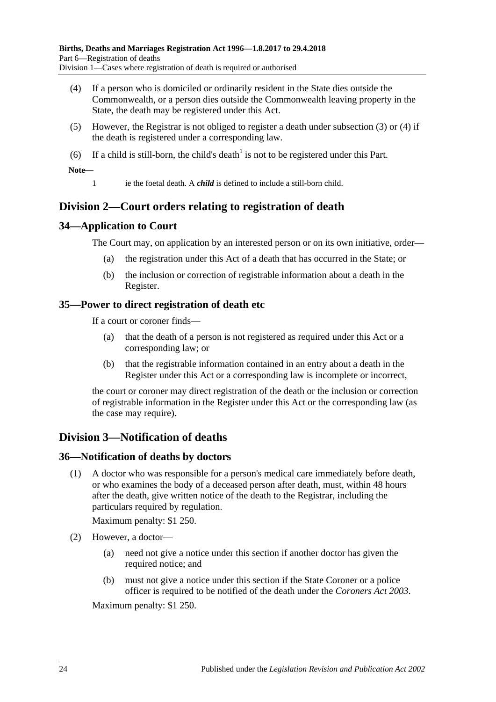- <span id="page-23-5"></span>(4) If a person who is domiciled or ordinarily resident in the State dies outside the Commonwealth, or a person dies outside the Commonwealth leaving property in the State, the death may be registered under this Act.
- (5) However, the Registrar is not obliged to register a death under [subsection](#page-22-9) (3) or [\(4\)](#page-23-5) if the death is registered under a corresponding law.
- (6) If a child is still-born, the child's death<sup>1</sup> is not to be registered under this Part.

**Note—**

1 ie the foetal death. A *child* is defined to include a still-born child.

## <span id="page-23-0"></span>**Division 2—Court orders relating to registration of death**

## <span id="page-23-1"></span>**34—Application to Court**

The Court may, on application by an interested person or on its own initiative, order—

- (a) the registration under this Act of a death that has occurred in the State; or
- (b) the inclusion or correction of registrable information about a death in the Register.

## <span id="page-23-2"></span>**35—Power to direct registration of death etc**

If a court or coroner finds—

- (a) that the death of a person is not registered as required under this Act or a corresponding law; or
- (b) that the registrable information contained in an entry about a death in the Register under this Act or a corresponding law is incomplete or incorrect,

the court or coroner may direct registration of the death or the inclusion or correction of registrable information in the Register under this Act or the corresponding law (as the case may require).

## <span id="page-23-3"></span>**Division 3—Notification of deaths**

## <span id="page-23-4"></span>**36—Notification of deaths by doctors**

(1) A doctor who was responsible for a person's medical care immediately before death, or who examines the body of a deceased person after death, must, within 48 hours after the death, give written notice of the death to the Registrar, including the particulars required by regulation.

Maximum penalty: \$1 250.

- (2) However, a doctor—
	- (a) need not give a notice under this section if another doctor has given the required notice; and
	- (b) must not give a notice under this section if the State Coroner or a police officer is required to be notified of the death under the *[Coroners Act](http://www.legislation.sa.gov.au/index.aspx?action=legref&type=act&legtitle=Coroners%20Act%202003) 2003*.

Maximum penalty: \$1 250.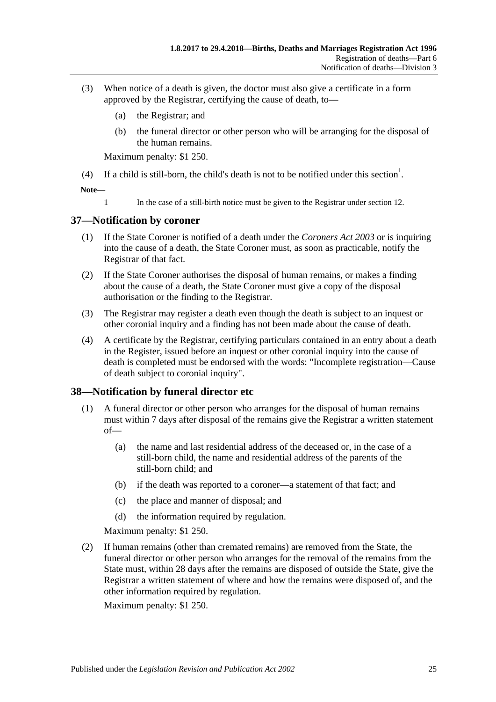- (3) When notice of a death is given, the doctor must also give a certificate in a form approved by the Registrar, certifying the cause of death, to—
	- (a) the Registrar; and
	- (b) the funeral director or other person who will be arranging for the disposal of the human remains.

Maximum penalty: \$1 250.

(4) If a child is still-born, the child's death is not to be notified under this section<sup>1</sup>.

**Note—**

1 In the case of a still-birth notice must be given to the Registrar under [section](#page-7-2) 12.

## <span id="page-24-0"></span>**37—Notification by coroner**

- (1) If the State Coroner is notified of a death under the *[Coroners Act](http://www.legislation.sa.gov.au/index.aspx?action=legref&type=act&legtitle=Coroners%20Act%202003) 2003* or is inquiring into the cause of a death, the State Coroner must, as soon as practicable, notify the Registrar of that fact.
- (2) If the State Coroner authorises the disposal of human remains, or makes a finding about the cause of a death, the State Coroner must give a copy of the disposal authorisation or the finding to the Registrar.
- (3) The Registrar may register a death even though the death is subject to an inquest or other coronial inquiry and a finding has not been made about the cause of death.
- (4) A certificate by the Registrar, certifying particulars contained in an entry about a death in the Register, issued before an inquest or other coronial inquiry into the cause of death is completed must be endorsed with the words: "Incomplete registration—Cause of death subject to coronial inquiry".

## <span id="page-24-1"></span>**38—Notification by funeral director etc**

- (1) A funeral director or other person who arranges for the disposal of human remains must within 7 days after disposal of the remains give the Registrar a written statement of—
	- (a) the name and last residential address of the deceased or, in the case of a still-born child, the name and residential address of the parents of the still-born child; and
	- (b) if the death was reported to a coroner—a statement of that fact; and
	- (c) the place and manner of disposal; and
	- (d) the information required by regulation.

Maximum penalty: \$1 250.

(2) If human remains (other than cremated remains) are removed from the State, the funeral director or other person who arranges for the removal of the remains from the State must, within 28 days after the remains are disposed of outside the State, give the Registrar a written statement of where and how the remains were disposed of, and the other information required by regulation.

Maximum penalty: \$1 250.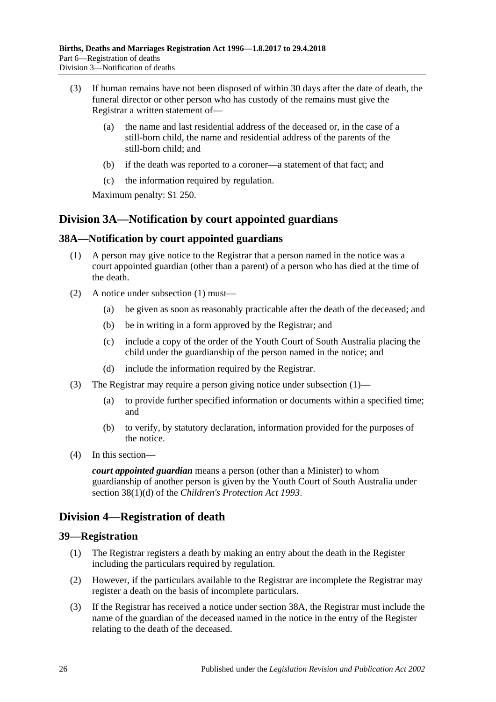- (3) If human remains have not been disposed of within 30 days after the date of death, the funeral director or other person who has custody of the remains must give the Registrar a written statement of—
	- (a) the name and last residential address of the deceased or, in the case of a still-born child, the name and residential address of the parents of the still-born child; and
	- (b) if the death was reported to a coroner—a statement of that fact; and
	- (c) the information required by regulation.

Maximum penalty: \$1 250.

## <span id="page-25-0"></span>**Division 3A—Notification by court appointed guardians**

## <span id="page-25-4"></span><span id="page-25-1"></span>**38A—Notification by court appointed guardians**

- (1) A person may give notice to the Registrar that a person named in the notice was a court appointed guardian (other than a parent) of a person who has died at the time of the death.
- (2) A notice under [subsection](#page-25-4) (1) must—
	- (a) be given as soon as reasonably practicable after the death of the deceased; and
	- (b) be in writing in a form approved by the Registrar; and
	- (c) include a copy of the order of the Youth Court of South Australia placing the child under the guardianship of the person named in the notice; and
	- (d) include the information required by the Registrar.
- (3) The Registrar may require a person giving notice under [subsection](#page-25-4) (1)—
	- (a) to provide further specified information or documents within a specified time; and
	- (b) to verify, by statutory declaration, information provided for the purposes of the notice.
- (4) In this section—

*court appointed guardian* means a person (other than a Minister) to whom guardianship of another person is given by the Youth Court of South Australia under section 38(1)(d) of the *[Children's Protection Act](http://www.legislation.sa.gov.au/index.aspx?action=legref&type=act&legtitle=Childrens%20Protection%20Act%201993) 1993*.

## <span id="page-25-2"></span>**Division 4—Registration of death**

### <span id="page-25-3"></span>**39—Registration**

- (1) The Registrar registers a death by making an entry about the death in the Register including the particulars required by regulation.
- (2) However, if the particulars available to the Registrar are incomplete the Registrar may register a death on the basis of incomplete particulars.
- (3) If the Registrar has received a notice under [section](#page-25-1) 38A, the Registrar must include the name of the guardian of the deceased named in the notice in the entry of the Register relating to the death of the deceased.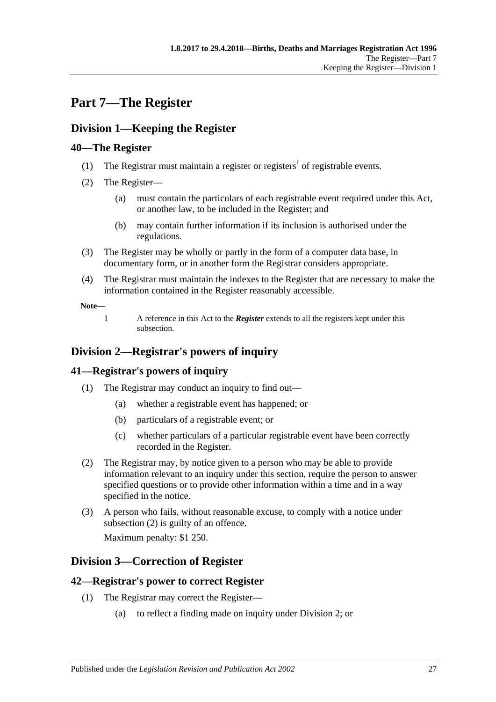# <span id="page-26-0"></span>**Part 7—The Register**

## <span id="page-26-1"></span>**Division 1—Keeping the Register**

## <span id="page-26-2"></span>**40—The Register**

- (1) The Registrar must maintain a register or registers<sup>1</sup> of registrable events.
- <span id="page-26-7"></span>(2) The Register—
	- (a) must contain the particulars of each registrable event required under this Act, or another law, to be included in the Register; and
	- (b) may contain further information if its inclusion is authorised under the regulations.
- (3) The Register may be wholly or partly in the form of a computer data base, in documentary form, or in another form the Registrar considers appropriate.
- (4) The Registrar must maintain the indexes to the Register that are necessary to make the information contained in the Register reasonably accessible.

**Note—**

1 A reference in this Act to the *Register* extends to all the registers kept under this subsection.

## <span id="page-26-3"></span>**Division 2—Registrar's powers of inquiry**

## <span id="page-26-4"></span>**41—Registrar's powers of inquiry**

- (1) The Registrar may conduct an inquiry to find out—
	- (a) whether a registrable event has happened; or
	- (b) particulars of a registrable event; or
	- (c) whether particulars of a particular registrable event have been correctly recorded in the Register.
- <span id="page-26-8"></span>(2) The Registrar may, by notice given to a person who may be able to provide information relevant to an inquiry under this section, require the person to answer specified questions or to provide other information within a time and in a way specified in the notice.
- (3) A person who fails, without reasonable excuse, to comply with a notice under [subsection](#page-26-8) (2) is guilty of an offence.

Maximum penalty: \$1 250.

## <span id="page-26-5"></span>**Division 3—Correction of Register**

## <span id="page-26-6"></span>**42—Registrar's power to correct Register**

- (1) The Registrar may correct the Register—
	- (a) to reflect a finding made on inquiry under [Division 2;](#page-26-3) or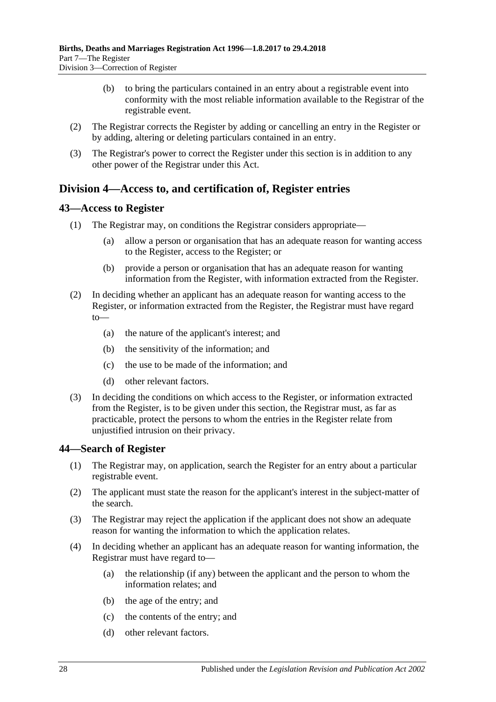- (b) to bring the particulars contained in an entry about a registrable event into conformity with the most reliable information available to the Registrar of the registrable event.
- (2) The Registrar corrects the Register by adding or cancelling an entry in the Register or by adding, altering or deleting particulars contained in an entry.
- (3) The Registrar's power to correct the Register under this section is in addition to any other power of the Registrar under this Act.

## <span id="page-27-0"></span>**Division 4—Access to, and certification of, Register entries**

## <span id="page-27-1"></span>**43—Access to Register**

- (1) The Registrar may, on conditions the Registrar considers appropriate—
	- (a) allow a person or organisation that has an adequate reason for wanting access to the Register, access to the Register; or
	- (b) provide a person or organisation that has an adequate reason for wanting information from the Register, with information extracted from the Register.
- (2) In deciding whether an applicant has an adequate reason for wanting access to the Register, or information extracted from the Register, the Registrar must have regard to—
	- (a) the nature of the applicant's interest; and
	- (b) the sensitivity of the information; and
	- (c) the use to be made of the information; and
	- (d) other relevant factors.
- (3) In deciding the conditions on which access to the Register, or information extracted from the Register, is to be given under this section, the Registrar must, as far as practicable, protect the persons to whom the entries in the Register relate from unjustified intrusion on their privacy.

### <span id="page-27-2"></span>**44—Search of Register**

- (1) The Registrar may, on application, search the Register for an entry about a particular registrable event.
- (2) The applicant must state the reason for the applicant's interest in the subject-matter of the search.
- (3) The Registrar may reject the application if the applicant does not show an adequate reason for wanting the information to which the application relates.
- (4) In deciding whether an applicant has an adequate reason for wanting information, the Registrar must have regard to—
	- (a) the relationship (if any) between the applicant and the person to whom the information relates; and
	- (b) the age of the entry; and
	- (c) the contents of the entry; and
	- (d) other relevant factors.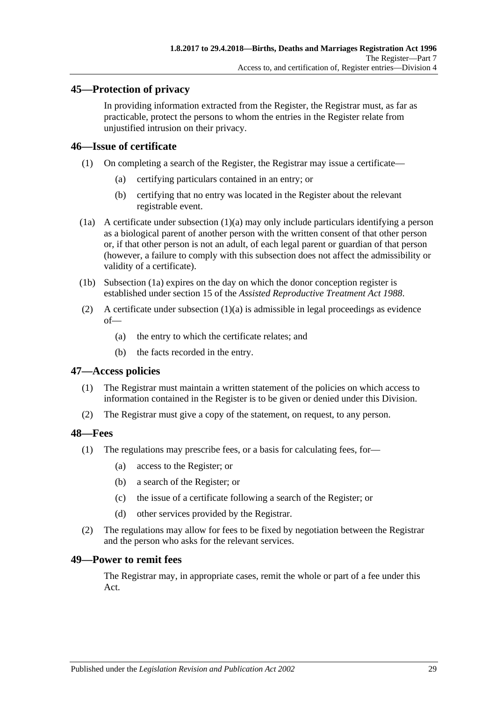## <span id="page-28-0"></span>**45—Protection of privacy**

In providing information extracted from the Register, the Registrar must, as far as practicable, protect the persons to whom the entries in the Register relate from unjustified intrusion on their privacy.

### <span id="page-28-1"></span>**46—Issue of certificate**

- <span id="page-28-5"></span>(1) On completing a search of the Register, the Registrar may issue a certificate—
	- (a) certifying particulars contained in an entry; or
	- (b) certifying that no entry was located in the Register about the relevant registrable event.
- <span id="page-28-6"></span>(1a) A certificate under [subsection](#page-28-5) (1)(a) may only include particulars identifying a person as a biological parent of another person with the written consent of that other person or, if that other person is not an adult, of each legal parent or guardian of that person (however, a failure to comply with this subsection does not affect the admissibility or validity of a certificate).
- (1b) [Subsection](#page-28-6) (1a) expires on the day on which the donor conception register is established under section 15 of the *[Assisted Reproductive Treatment Act](http://www.legislation.sa.gov.au/index.aspx?action=legref&type=act&legtitle=Assisted%20Reproductive%20Treatment%20Act%201988) 1988*.
- (2) A certificate under [subsection](#page-28-5)  $(1)(a)$  is admissible in legal proceedings as evidence of—
	- (a) the entry to which the certificate relates; and
	- (b) the facts recorded in the entry.

### <span id="page-28-2"></span>**47—Access policies**

- (1) The Registrar must maintain a written statement of the policies on which access to information contained in the Register is to be given or denied under this Division.
- (2) The Registrar must give a copy of the statement, on request, to any person.

### <span id="page-28-3"></span>**48—Fees**

- (1) The regulations may prescribe fees, or a basis for calculating fees, for—
	- (a) access to the Register; or
	- (b) a search of the Register; or
	- (c) the issue of a certificate following a search of the Register; or
	- (d) other services provided by the Registrar.
- (2) The regulations may allow for fees to be fixed by negotiation between the Registrar and the person who asks for the relevant services.

### <span id="page-28-4"></span>**49—Power to remit fees**

The Registrar may, in appropriate cases, remit the whole or part of a fee under this Act.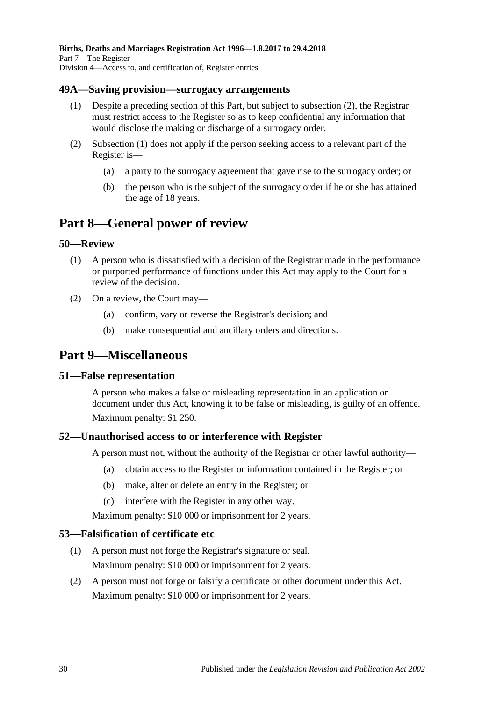### <span id="page-29-8"></span><span id="page-29-0"></span>**49A—Saving provision—surrogacy arrangements**

- (1) Despite a preceding section of this Part, but subject to [subsection](#page-29-7) (2), the Registrar must restrict access to the Register so as to keep confidential any information that would disclose the making or discharge of a surrogacy order.
- <span id="page-29-7"></span>(2) [Subsection](#page-29-8) (1) does not apply if the person seeking access to a relevant part of the Register is—
	- (a) a party to the surrogacy agreement that gave rise to the surrogacy order; or
	- (b) the person who is the subject of the surrogacy order if he or she has attained the age of 18 years.

## <span id="page-29-1"></span>**Part 8—General power of review**

### <span id="page-29-2"></span>**50—Review**

- (1) A person who is dissatisfied with a decision of the Registrar made in the performance or purported performance of functions under this Act may apply to the Court for a review of the decision.
- (2) On a review, the Court may—
	- (a) confirm, vary or reverse the Registrar's decision; and
	- (b) make consequential and ancillary orders and directions.

## <span id="page-29-3"></span>**Part 9—Miscellaneous**

### <span id="page-29-4"></span>**51—False representation**

A person who makes a false or misleading representation in an application or document under this Act, knowing it to be false or misleading, is guilty of an offence. Maximum penalty: \$1 250.

## <span id="page-29-5"></span>**52—Unauthorised access to or interference with Register**

A person must not, without the authority of the Registrar or other lawful authority—

- (a) obtain access to the Register or information contained in the Register; or
- (b) make, alter or delete an entry in the Register; or
- (c) interfere with the Register in any other way.

Maximum penalty: \$10 000 or imprisonment for 2 years.

### <span id="page-29-6"></span>**53—Falsification of certificate etc**

- (1) A person must not forge the Registrar's signature or seal. Maximum penalty: \$10 000 or imprisonment for 2 years.
- (2) A person must not forge or falsify a certificate or other document under this Act. Maximum penalty: \$10 000 or imprisonment for 2 years.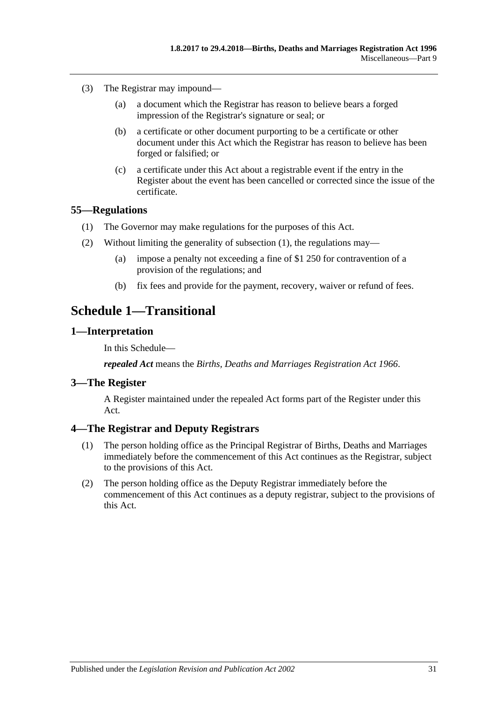- (3) The Registrar may impound—
	- (a) a document which the Registrar has reason to believe bears a forged impression of the Registrar's signature or seal; or
	- (b) a certificate or other document purporting to be a certificate or other document under this Act which the Registrar has reason to believe has been forged or falsified; or
	- (c) a certificate under this Act about a registrable event if the entry in the Register about the event has been cancelled or corrected since the issue of the certificate.

### <span id="page-30-5"></span><span id="page-30-0"></span>**55—Regulations**

- (1) The Governor may make regulations for the purposes of this Act.
- (2) Without limiting the generality of [subsection](#page-30-5) (1), the regulations may—
	- (a) impose a penalty not exceeding a fine of \$1 250 for contravention of a provision of the regulations; and
	- (b) fix fees and provide for the payment, recovery, waiver or refund of fees.

## <span id="page-30-1"></span>**Schedule 1—Transitional**

### <span id="page-30-2"></span>**1—Interpretation**

In this Schedule—

*repealed Act* means the *[Births, Deaths and Marriages Registration Act](http://www.legislation.sa.gov.au/index.aspx?action=legref&type=act&legtitle=Births%20Deaths%20and%20Marriages%20Registration%20Act%201966) 1966*.

### <span id="page-30-3"></span>**3—The Register**

A Register maintained under the repealed Act forms part of the Register under this Act.

## <span id="page-30-4"></span>**4—The Registrar and Deputy Registrars**

- (1) The person holding office as the Principal Registrar of Births, Deaths and Marriages immediately before the commencement of this Act continues as the Registrar, subject to the provisions of this Act.
- (2) The person holding office as the Deputy Registrar immediately before the commencement of this Act continues as a deputy registrar, subject to the provisions of this Act.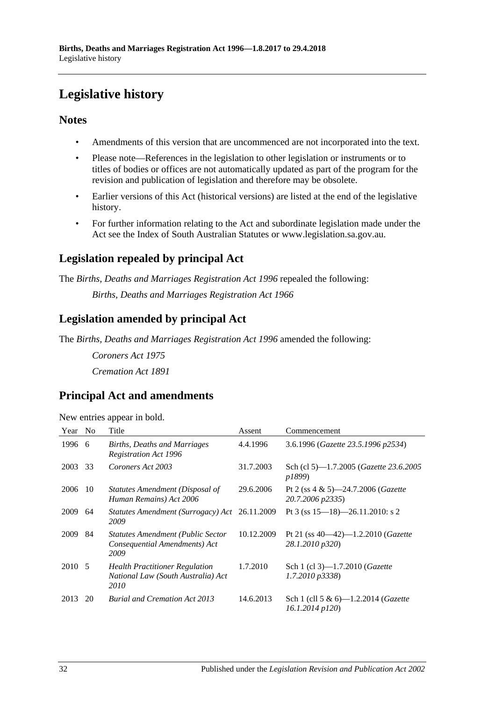# <span id="page-31-0"></span>**Legislative history**

## **Notes**

- Amendments of this version that are uncommenced are not incorporated into the text.
- Please note—References in the legislation to other legislation or instruments or to titles of bodies or offices are not automatically updated as part of the program for the revision and publication of legislation and therefore may be obsolete.
- Earlier versions of this Act (historical versions) are listed at the end of the legislative history.
- For further information relating to the Act and subordinate legislation made under the Act see the Index of South Australian Statutes or www.legislation.sa.gov.au.

## **Legislation repealed by principal Act**

The *Births, Deaths and Marriages Registration Act 1996* repealed the following:

*Births, Deaths and Marriages Registration Act 1966*

## **Legislation amended by principal Act**

The *Births, Deaths and Marriages Registration Act 1996* amended the following:

*Coroners Act 1975 Cremation Act 1891*

## **Principal Act and amendments**

| New entries appear in bold. |  |  |
|-----------------------------|--|--|
|                             |  |  |
|                             |  |  |
|                             |  |  |

| Year   | N <sub>o</sub> | Title                                                                               | Assent     | Commencement                                                       |
|--------|----------------|-------------------------------------------------------------------------------------|------------|--------------------------------------------------------------------|
| 1996   | -6             | Births, Deaths and Marriages<br><b>Registration Act 1996</b>                        | 4.4.1996   | 3.6.1996 (Gazette 23.5.1996 p2534)                                 |
| 2003   | 33             | Coroners Act 2003                                                                   | 31.7.2003  | Sch (cl 5)—1.7.2005 ( <i>Gazette 23.6.2005</i><br>p1899)           |
| 2006   | -10            | Statutes Amendment (Disposal of<br>Human Remains) Act 2006                          | 29.6.2006  | Pt 2 (ss $4 \& 5$ )—24.7.2006 ( <i>Gazette</i><br>20.7.2006 p2335) |
| 2009   | 64             | Statutes Amendment (Surrogacy) Act<br>2009                                          | 26.11.2009 | Pt 3 (ss $15 - 18$ ) - 26.11.2010: s 2                             |
| 2009   | 84             | <b>Statutes Amendment (Public Sector</b><br>Consequential Amendments) Act<br>2009   | 10.12.2009 | Pt 21 (ss $40-42$ )-1.2.2010 ( <i>Gazette</i><br>28.1.2010 p320)   |
| 2010 5 |                | <b>Health Practitioner Regulation</b><br>National Law (South Australia) Act<br>2010 | 1.7.2010   | Sch 1 (cl 3)-1.7.2010 ( <i>Gazette</i><br>$1.7.2010 \text{ p}3338$ |
| 2013   | 20             | <b>Burial and Cremation Act 2013</b>                                                | 14.6.2013  | Sch 1 (cll 5 & 6)-1.2.2014 ( <i>Gazette</i><br>16.1.2014 p120)     |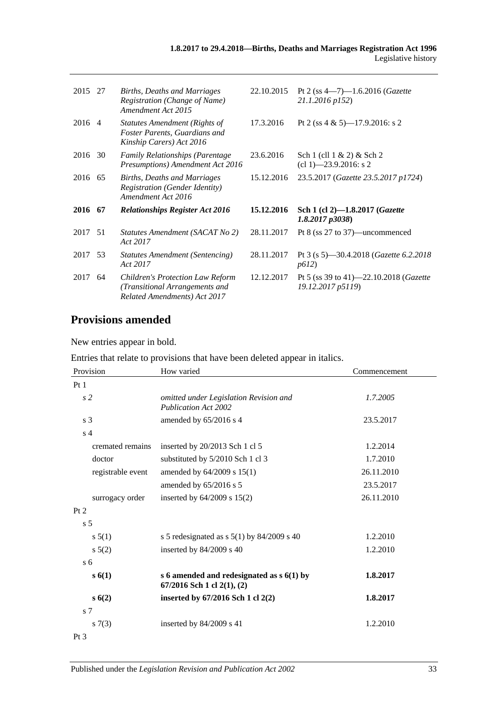| 2015 27 |    | Births, Deaths and Marriages<br>Registration (Change of Name)<br>Amendment Act 2015                       | 22.10.2015 | Pt 2 (ss $4-7$ )-1.6.2016 ( <i>Gazette</i><br>21.1.2016 p152)       |
|---------|----|-----------------------------------------------------------------------------------------------------------|------------|---------------------------------------------------------------------|
| 2016 4  |    | Statutes Amendment (Rights of<br>Foster Parents, Guardians and<br>Kinship Carers) Act 2016                | 17.3.2016  | Pt 2 (ss 4 & 5)-17.9.2016: s 2                                      |
| 2016    | 30 | <b>Family Relationships (Parentage</b><br>Presumptions) Amendment Act 2016                                | 23.6.2016  | Sch $1$ (cll $1 \& 2$ ) & Sch $2$<br>$cl$ 1) -23.9.2016: s 2        |
| 2016 65 |    | Births, Deaths and Marriages<br><b>Registration (Gender Identity)</b><br>Amendment Act 2016               | 15.12.2016 | 23.5.2017 (Gazette 23.5.2017 p1724)                                 |
| 2016 67 |    | <b>Relationships Register Act 2016</b>                                                                    | 15.12.2016 | Sch 1 (cl 2)-1.8.2017 (Gazette<br>1.8.2017p3038                     |
| 2017 51 |    | Statutes Amendment (SACAT No 2)<br>Act 2017                                                               | 28.11.2017 | Pt $8$ (ss $27$ to $37$ )—uncommenced                               |
| 2017    | 53 | Statutes Amendment (Sentencing)<br>Act 2017                                                               | 28.11.2017 | Pt 3 (s 5)—30.4.2018 ( <i>Gazette 6.2.2018</i><br>p612)             |
| 2017    | 64 | <b>Children's Protection Law Reform</b><br>(Transitional Arrangements and<br>Related Amendments) Act 2017 | 12.12.2017 | Pt 5 (ss 39 to 41)–22.10.2018 ( <i>Gazette</i><br>19.12.2017 p5119) |
|         |    |                                                                                                           |            |                                                                     |

## **Provisions amended**

New entries appear in bold.

Entries that relate to provisions that have been deleted appear in italics.

| Provision         | How varied                                                                | Commencement |
|-------------------|---------------------------------------------------------------------------|--------------|
| Pt1               |                                                                           |              |
| s <sub>2</sub>    | omitted under Legislation Revision and<br><b>Publication Act 2002</b>     | 1.7.2005     |
| s <sub>3</sub>    | amended by 65/2016 s 4                                                    | 23.5.2017    |
| s <sub>4</sub>    |                                                                           |              |
| cremated remains  | inserted by 20/2013 Sch 1 cl 5                                            | 1.2.2014     |
| doctor            | substituted by 5/2010 Sch 1 cl 3                                          | 1.7.2010     |
| registrable event | amended by 64/2009 s 15(1)                                                | 26.11.2010   |
|                   | amended by 65/2016 s 5                                                    | 23.5.2017    |
| surrogacy order   | inserted by $64/2009$ s $15(2)$                                           | 26.11.2010   |
| Pt 2              |                                                                           |              |
| s <sub>5</sub>    |                                                                           |              |
| s 5(1)            | s 5 redesignated as $s$ 5(1) by 84/2009 s 40                              | 1.2.2010     |
| $s\ 5(2)$         | inserted by $84/2009$ s 40                                                | 1.2.2010     |
| $\rm{s}$ 6        |                                                                           |              |
| s(6(1))           | s 6 amended and redesignated as $s$ 6(1) by<br>67/2016 Sch 1 cl 2(1), (2) | 1.8.2017     |
| s(6(2))           | inserted by 67/2016 Sch 1 cl 2(2)                                         | 1.8.2017     |
| s <sub>7</sub>    |                                                                           |              |
| s(7(3))           | inserted by 84/2009 s 41                                                  | 1.2.2010     |
| $Pt\,3$           |                                                                           |              |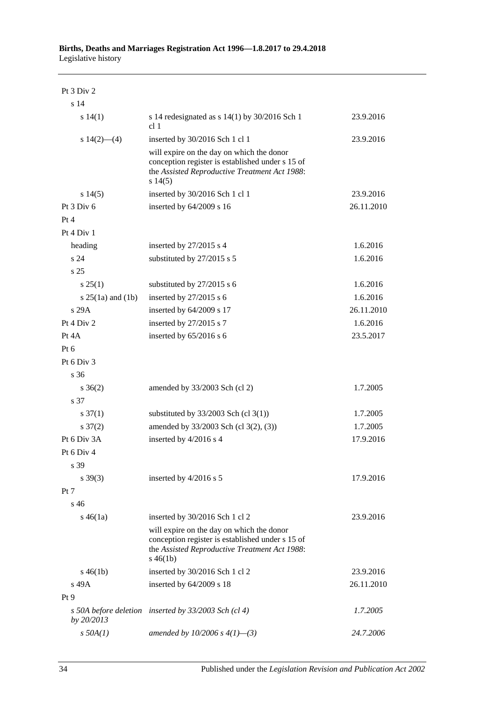## Pt 3 Div 2

| s <sub>14</sub>       |                                                                                                                                                               |            |
|-----------------------|---------------------------------------------------------------------------------------------------------------------------------------------------------------|------------|
| s 14(1)               | s 14 redesignated as $s$ 14(1) by 30/2016 Sch 1<br>cl 1                                                                                                       | 23.9.2016  |
| s $14(2)$ — $(4)$     | inserted by 30/2016 Sch 1 cl 1                                                                                                                                | 23.9.2016  |
|                       | will expire on the day on which the donor<br>conception register is established under s 15 of<br>the Assisted Reproductive Treatment Act 1988:<br>s14(5)      |            |
| s14(5)                | inserted by 30/2016 Sch 1 cl 1                                                                                                                                | 23.9.2016  |
| Pt 3 Div 6            | inserted by 64/2009 s 16                                                                                                                                      | 26.11.2010 |
| Pt 4                  |                                                                                                                                                               |            |
| Pt 4 Div 1            |                                                                                                                                                               |            |
| heading               | inserted by 27/2015 s 4                                                                                                                                       | 1.6.2016   |
| s 24                  | substituted by 27/2015 s 5                                                                                                                                    | 1.6.2016   |
| s <sub>25</sub>       |                                                                                                                                                               |            |
| $s \, 25(1)$          | substituted by 27/2015 s 6                                                                                                                                    | 1.6.2016   |
| s $25(1a)$ and $(1b)$ | inserted by $27/2015$ s 6                                                                                                                                     | 1.6.2016   |
| s 29A                 | inserted by 64/2009 s 17                                                                                                                                      | 26.11.2010 |
| Pt 4 Div 2            | inserted by 27/2015 s 7                                                                                                                                       | 1.6.2016   |
| Pt 4A                 | inserted by 65/2016 s 6                                                                                                                                       | 23.5.2017  |
| Pt 6                  |                                                                                                                                                               |            |
| Pt 6 Div 3            |                                                                                                                                                               |            |
| s <sub>36</sub>       |                                                                                                                                                               |            |
| $s \; 36(2)$          | amended by 33/2003 Sch (cl 2)                                                                                                                                 | 1.7.2005   |
| s 37                  |                                                                                                                                                               |            |
| $s \frac{37(1)}{2}$   | substituted by $33/2003$ Sch (cl 3(1))                                                                                                                        | 1.7.2005   |
| $s \frac{37(2)}{2}$   | amended by 33/2003 Sch (cl 3(2), (3))                                                                                                                         | 1.7.2005   |
| Pt 6 Div 3A           | inserted by 4/2016 s 4                                                                                                                                        | 17.9.2016  |
| Pt 6 Div 4            |                                                                                                                                                               |            |
| s 39                  |                                                                                                                                                               |            |
| $s \, 39(3)$          | inserted by 4/2016 s 5                                                                                                                                        | 17.9.2016  |
| Pt 7                  |                                                                                                                                                               |            |
| s <sub>46</sub>       |                                                                                                                                                               |            |
| $s\,46(1a)$           | inserted by 30/2016 Sch 1 cl 2                                                                                                                                | 23.9.2016  |
|                       | will expire on the day on which the donor<br>conception register is established under s 15 of<br>the Assisted Reproductive Treatment Act 1988:<br>$s\,46(1b)$ |            |
| $s\,46(1b)$           | inserted by 30/2016 Sch 1 cl 2                                                                                                                                | 23.9.2016  |
| s 49A                 | inserted by $64/2009$ s 18                                                                                                                                    | 26.11.2010 |
| Pt <sub>9</sub>       |                                                                                                                                                               |            |
| by 20/2013            | s 50A before deletion inserted by 33/2003 Sch (cl 4)                                                                                                          | 1.7.2005   |
| $s$ 50A $(1)$         | amended by 10/2006 s $4(1)$ —(3)                                                                                                                              | 24.7.2006  |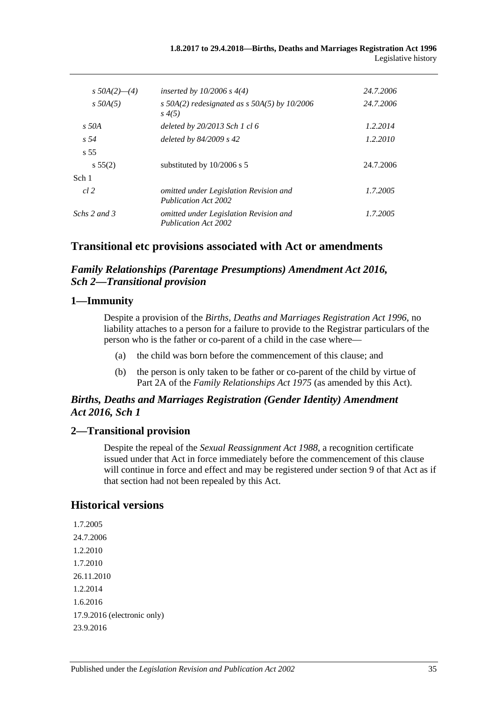| s $50A(2)$ — $(4)$ | inserted by $10/2006 s 4(4)$                                          | 24.7.2006 |
|--------------------|-----------------------------------------------------------------------|-----------|
| $s$ 50A(5)         | s 50A(2) redesignated as $s$ 50A(5) by 10/2006<br>$s\,4(5)$           | 24.7.2006 |
| $s$ 50A            | deleted by 20/2013 Sch 1 cl 6                                         | 1.2.2014  |
| s <sub>54</sub>    | deleted by $84/2009$ s 42                                             | 1.2.2010  |
| $\overline{s}$ 55  |                                                                       |           |
| $s\,55(2)$         | substituted by $10/2006$ s 5                                          | 24.7.2006 |
| Sch 1              |                                                                       |           |
| cl 2               | omitted under Legislation Revision and<br><b>Publication Act 2002</b> | 1.7.2005  |
| Schs 2 and 3       | omitted under Legislation Revision and<br><b>Publication Act 2002</b> | 1.7.2005  |

## **Transitional etc provisions associated with Act or amendments**

## *Family Relationships (Parentage Presumptions) Amendment Act 2016, Sch 2—Transitional provision*

### **1—Immunity**

Despite a provision of the *[Births, Deaths and Marriages Registration Act](http://www.legislation.sa.gov.au/index.aspx?action=legref&type=act&legtitle=Births%20Deaths%20and%20Marriages%20Registration%20Act%201996) 1996*, no liability attaches to a person for a failure to provide to the Registrar particulars of the person who is the father or co-parent of a child in the case where—

- (a) the child was born before the commencement of this clause; and
- (b) the person is only taken to be father or co-parent of the child by virtue of Part 2A of the *[Family Relationships Act](http://www.legislation.sa.gov.au/index.aspx?action=legref&type=act&legtitle=Family%20Relationships%20Act%201975) 1975* (as amended by this Act).

## *Births, Deaths and Marriages Registration (Gender Identity) Amendment Act 2016, Sch 1*

## **2—Transitional provision**

Despite the repeal of the *[Sexual Reassignment Act](http://www.legislation.sa.gov.au/index.aspx?action=legref&type=act&legtitle=Sexual%20Reassignment%20Act%201988) 1988*, a recognition certificate issued under that Act in force immediately before the commencement of this clause will continue in force and effect and may be registered under section 9 of that Act as if that section had not been repealed by this Act.

## **Historical versions**

```
1.7.2005
24.7.2006
1.2.2010
1.7.2010
26.11.2010
1.2.2014
1.6.2016
17.9.2016 (electronic only)
23.9.2016
```